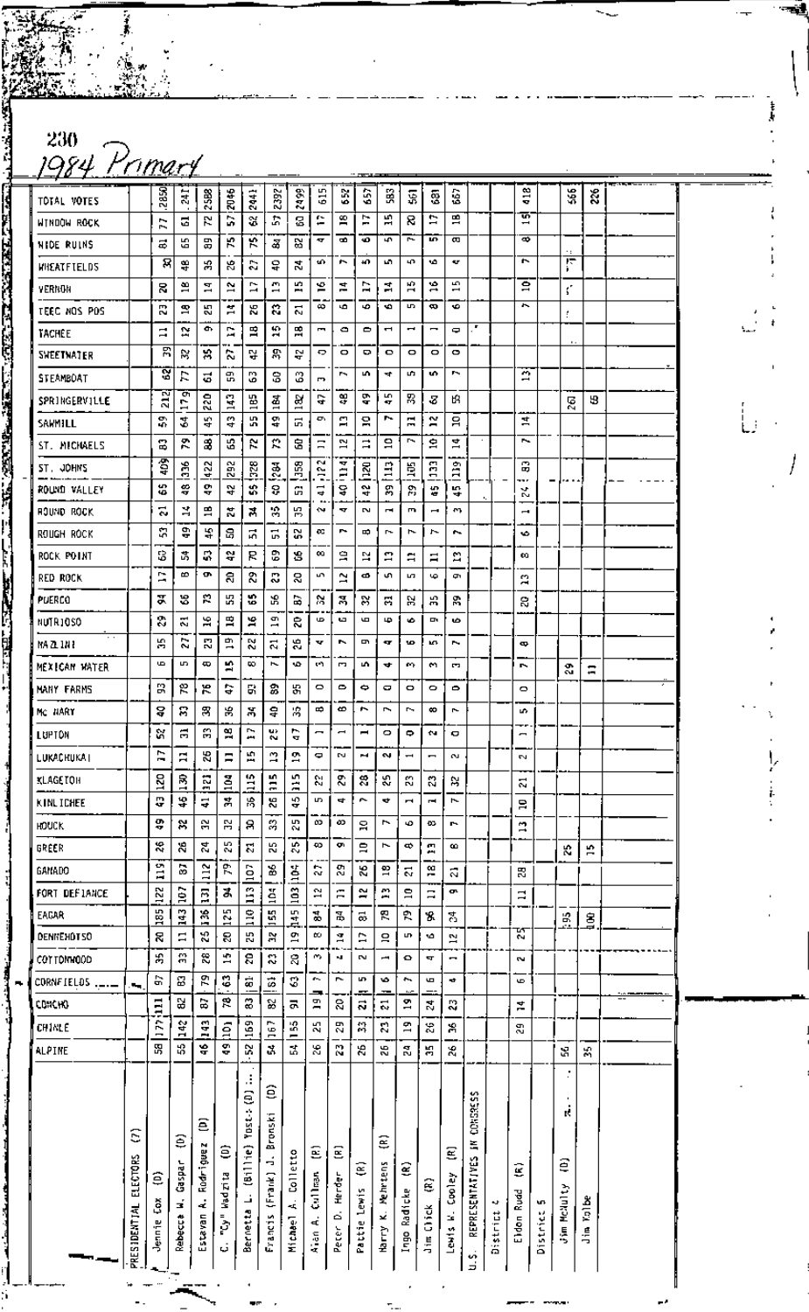230<br>1984 Primary

e.<br>S

| ______            |                            |                 |                          |                             |                               |                                       |                                          |                                             |                   |                          |                   |                    |                          |                          |                               |                                   |          |                               |          |                               |       |  |
|-------------------|----------------------------|-----------------|--------------------------|-----------------------------|-------------------------------|---------------------------------------|------------------------------------------|---------------------------------------------|-------------------|--------------------------|-------------------|--------------------|--------------------------|--------------------------|-------------------------------|-----------------------------------|----------|-------------------------------|----------|-------------------------------|-------|--|
| TOTAL VOTES       |                            | 2850            | ä                        | 2588                        | <b>2145</b>                   | 2441                                  | 2392                                     | 2499                                        | 615               | Š                        | ŝ                 | ã                  | g                        | ន្ទ                      | ŝ                             |                                   |          | $\frac{3}{4}$                 |          | 36                            | 26    |  |
| WINDOW ROCK       |                            | Ξ               | Ξ                        | 5.                          | C,                            | ¥                                     | 5                                        | g                                           | e                 | £,                       | Þ                 | 罰                  | 8                        | Þ                        | 兽                             |                                   |          | क<br>$\overline{\phantom{0}}$ |          |                               |       |  |
| <b>NIDE RUINS</b> |                            | ಹ               | £5                       | 岊                           | К                             | ۴                                     | Z                                        | 52                                          | ₩                 | œ                        | ۰Ø.               | 47                 | ł                        | <b>UD</b>                | ω                             |                                   |          | ø                             |          |                               |       |  |
| WHEATFIELDS       |                            | ਕ               | 等                        | æ                           | 8                             | S.                                    | ទ្                                       | 쿦                                           | 10                | r.                       | 40.               | u.                 | 40                       | ۱Ó                       | <b>KF</b>                     |                                   |          | u                             |          | ਜ਼                            |       |  |
| YERNON            |                            | R,              | Э                        | Ξ                           | $\mathbf{r}$                  | Z                                     | m                                        | 쁰                                           | 警                 | 본                        | Þ                 | Å                  | 15                       | $\tilde{a}$              | S<br>$\overline{\phantom{0}}$ |                                   |          | $\overline{a}$                |          | ť.                            |       |  |
| TEEC NOS POS      |                            | m<br>N          | ደ                        | 45                          | ٠<br>$\overline{\phantom{0}}$ | 26                                    | S,                                       | 21                                          | ∞                 | ۱Ō.                      | ٠                 | ۰o                 | S                        | œ                        | ۰                             |                                   |          | ,                             |          | ÷                             |       |  |
| TACHEE            |                            | $\mathbf{I}$    | R                        | œ                           | Д                             | 멶                                     | R                                        | 멿                                           | Ĩ.                | ۰                        | 0                 | $\blacksquare$     | ⊶                        | -                        | ٠                             |                                   |          |                               |          |                               |       |  |
| <b>SHEETHATER</b> |                            | 呂               | ×                        | 潟                           | r.                            | 잎                                     | ድ                                        | 윾                                           | Ð                 | ۰                        | ۰                 | $\bullet$          | ۰                        | ۰                        | $\circ$                       |                                   |          |                               |          | $\mathbf{r}$ .                |       |  |
| STEAMBOAT         |                            | g               | R                        | 2                           | 믮                             | ွ                                     | 3                                        | ్త                                          | P,                | r.                       | w                 | ₹                  | L.                       | n,                       | ь,                            |                                   |          | Ä                             |          |                               |       |  |
| SPRINGERVILLE     |                            | 212             | 179                      | 220                         | $\mathbf{a}$                  | 165                                   | <u>혹</u>                                 | æ                                           | ÷                 | 设                        | ę.                | E,<br><b>AT</b>    | 深                        | -3                       | ۴З                            |                                   |          |                               |          | 25                            | 53    |  |
| SAWMILL           |                            | 읎               | 2                        | 4                           | ្នុ                           | ۵'n                                   | 목                                        | 5                                           | ¢                 | Д                        | 읔                 | r.                 | Ξ                        | N                        | ă                             |                                   |          | Ħ,                            |          |                               |       |  |
| ST. MICHAELS      |                            | 2               | ድ                        | 3                           | G,                            | ĸ                                     | Ľ.                                       | 3                                           | $\Xi$             | 2                        | ።                 | $\mathbf{a}$       | r,                       | 훜                        | 봌                             |                                   |          | ~                             |          |                               |       |  |
| ST. JOHNS         |                            | Ţ               | ă                        | 422                         | 292                           | 328                                   | $\frac{3}{2}$                            | 38                                          | M<br>c.           | ▼                        | <b>RCI</b>        | Ξ                  | ğ                        | $\ddot{a}$               | å                             |                                   |          | G                             |          |                               |       |  |
| ROUND VALLEY      |                            | \$              | ş                        | ę                           | s,                            | s,                                    | Ş                                        | G                                           | T.<br>⇛           | Ė<br>ş                   | ÷,                | S,                 | 2,                       | ٠,                       | 땊                             |                                   |          | <br>v<br>N                    | -        | .                             |       |  |
| HOUND ROCK        |                            | ಸ               | ¥,                       | H                           | ä,                            | 겨                                     | <b>A</b>                                 | 陈                                           | ∾                 | ×,                       | N                 | $\blacksquare$     | E,                       | $\overline{\phantom{0}}$ | $\mathbf{m}_{\mathbf{k}}$     |                                   |          | ı                             |          |                               |       |  |
| ROUGH ROCK        |                            | S.              | ÷                        | 4                           | ន                             | 법                                     | 5                                        | X                                           | œ                 | P.                       | $\Rightarrow$     | r-                 | Ⴡ                        | r                        | $\sim$                        |                                   |          | ۰                             |          |                               |       |  |
| ROCK POINT        |                            | 8               | 蒿                        | s,                          | å,                            | К                                     | ឌ                                        | 8                                           | 99.               | g                        | N                 | Ξ                  | ≈                        | Ξ                        | ្ន                            |                                   |          | œ                             |          |                               |       |  |
| red Rock          |                            | Ē,              | ∞                        | œ                           | ន                             | ని                                    | IJ                                       | g                                           | un.               | Ξ                        | ¢                 | s,                 | L.                       | ص                        | œ.                            |                                   |          | S                             |          |                               |       |  |
| PUERCO            |                            | X               | S,                       | R                           | ĸ                             | s.                                    | 嵓                                        | Э                                           | 器                 | М                        | ≈                 | A                  | w                        | Ж,                       | 需                             |                                   |          | 8                             |          |                               |       |  |
| NUTR10SO          |                            | 8               | 찌                        | 旱                           | 岊                             | 'n,                                   | $\frac{9}{4}$                            | g                                           | œ                 | tд.                      | G                 | Ф                  | ۰                        | o,                       | ۰                             |                                   |          |                               |          |                               |       |  |
| MA 21 111 1       |                            | Я               | 2                        | N                           | œ<br>$\overline{\phantom{0}}$ | 22                                    | $\overline{z}$                           | 45                                          | v                 | P.                       | P                 | <b>ST</b>          | ۱O                       | kG.                      | ь.                            |                                   |          | œ                             |          |                               |       |  |
| MEXICAN WATER     |                            | G               | S.                       | ŧ                           | ×,                            | ∞                                     | $\overline{r}$                           | ۱D.                                         | s٩                | P.                       | n.                | ₩                  | œ.                       | m                        | P.                            |                                   |          | r,                            |          | ᡐ<br>СJ.                      | $\Xi$ |  |
| MANY FARMS        |                            | В               | p                        | ۳                           | G                             | 61                                    | 2                                        | æ,                                          | $\circ$           | $\bullet$                | ¢                 | 0                  | O                        | $\circ$                  | ۰                             |                                   |          | ۰                             |          |                               |       |  |
| MC NART           |                            | ន្              | S                        | 霄                           | 出                             | 菁                                     | ş                                        | 窝                                           | ⇨                 | ∞                        | ∼                 | ł                  | r.                       | ∞                        | ŀ                             |                                   |          | u.                            |          |                               |       |  |
| LUPTON            |                            | s.              | Ξ                        | æ                           | 읰                             | r,<br>وعو                             | u,<br>w                                  | ►<br>A                                      | -                 | $\overline{\phantom{0}}$ | $\blacksquare$    | $\circ$            | $\Rightarrow$            | ¢٩                       | o                             |                                   |          | $\overline{\phantom{0}}$      |          |                               |       |  |
| LUKACHUKA I       |                            | r<br>-          | Ξ                        | 25                          | Ξ                             | Ŧ,                                    | ø                                        | œ                                           | 0                 | D.                       | ы                 | <b>N</b>           | $\overline{\phantom{0}}$ | $\blacksquare$           | e.                            |                                   |          | Z                             |          |                               |       |  |
| <b>KLAGETOH</b>   |                            | 120             | $\frac{5}{1}$            | $\overline{2}$              | ă                             | â                                     | Ë                                        | ă                                           | ε                 | g,                       | £.                | ౘ                  | K)                       | 23                       | R,                            |                                   |          | 2                             |          |                               |       |  |
| KINLICHEE         |                            | Q               | 4                        | Ş                           | ÷,                            | 冷                                     | X.                                       | 49                                          | S.                | 4                        | r.                | 4                  | ÷                        | ÷,                       | $\overline{\phantom{a}}$      |                                   |          | Ξ                             |          |                               |       |  |
| <b>HOUCK</b>      |                            | 9,              | X                        | 읝                           | 읂                             | 8                                     | 3                                        | ξŚ,                                         | œ                 | œ                        | Я                 | r                  | ю                        | Đ3                       | r.                            |                                   |          | $\mathbf{r}$                  |          |                               |       |  |
| GREER             |                            | ×,              | 26                       | ٢Î                          | К,                            | Ľ,                                    | 53                                       | 25                                          | ∞                 | ç,                       | $\Xi$             | F                  |                          | Д                        | œ                             |                                   |          |                               |          | К,                            | P.    |  |
| <b>GANADO</b>     |                            | <b>O</b>        | 2                        | $\frac{12}{2}$              | ፎ                             |                                       | s.                                       |                                             | S,                | 쫇                        | К                 | 2                  | $\overline{\mathbf{z}}$  | 음                        | ឆ                             |                                   |          | 뚢                             |          |                               |       |  |
| FORT DEFIANCE     |                            | Ξ               |                          |                             | đ,                            | $\overline{a}$                        | $\frac{104}{1}$                          | ine.                                        | ă,                | Ξ                        | $\approx$         | m                  | $\Xi$                    | Ξ                        | œ                             |                                   |          |                               |          |                               |       |  |
| EACAR             |                            | 122             | 107                      | Ξ                           |                               | $\overline{113}$                      | $\overline{\mathbf{g}}$                  | $\frac{103}{2}$                             | ್ಹ                | ă,                       |                   | بعو<br>/           | R                        |                          |                               |                                   |          | $\Xi$                         |          |                               |       |  |
| DENNEHOTSO        |                            | 185<br>K        | 143<br>Ξ                 | 36<br>ž,                    | 125<br>8                      | $\frac{10}{11}$<br>55                 | Ħ                                        | $\frac{145}{14}$<br>$\overline{\mathbf{c}}$ | ω                 | ă,                       | ಹ<br>E            | 9                  | LD.                      | 8<br>۱Ó                  | 쫑                             |                                   |          | 펁                             |          | В                             | ĝ     |  |
| COTTOMMOOD        |                            | 耑               | 유                        | æ,                          | ÷,                            | g                                     | 23                                       | g,                                          | m,                | ×.                       | $\sim$            | Ţ                  | $\bullet$                | ч                        | 12<br>-                       |                                   |          | 2                             |          |                               |       |  |
| CORNFIELDS        |                            | G,              | 8                        | ፎ                           | c                             | ã                                     | <b>S</b>                                 | 3                                           | $\sim$            | r.                       | LD.               | ٠٥                 | $\ddot{}$                | G                        | ٠                             |                                   |          | G                             |          |                               |       |  |
| CDN HO            | п.                         |                 | S                        | B                           | 昆                             | S.                                    | S                                        | ᆽ                                           | ∍<br>$\Xi$        | g                        | ឆ                 | 2                  | ግ                        | 4                        | g,                            |                                   |          |                               |          |                               |       |  |
| CHINLE            |                            | $\overline{11}$ |                          |                             |                               |                                       |                                          |                                             | K)                | 5                        | 쓚                 | Ľ,                 | $\mathbf{r}$             | Z,                       | 窝                             |                                   |          | ¥,                            |          |                               |       |  |
| ALPINE            |                            | <b>CCC</b><br>뙩 | 342<br>밚                 | 143<br>÷                    | ã<br>å.                       | 169<br>X                              | 167<br>Å,                                | 155<br>뚢                                    | $\mathbf{g}$      | N,                       | 26                | 92                 | ã,                       | H.                       | X6                            |                                   |          | g,                            |          |                               |       |  |
|                   |                            |                 |                          |                             |                               |                                       |                                          |                                             |                   |                          |                   |                    |                          |                          |                               |                                   |          |                               |          | ĉ.                            | 舄     |  |
|                   | S<br>PRESIDENTIAL ELECTORS | €<br>Çõ         | €<br><b>Gaspar</b><br>E, | ε<br>Rodriguez<br>$\vec{a}$ | ε<br>Wadzi ta<br>į.           | ä,<br>ą<br>(Billie) Yost-<br>$\Delta$ | ε<br>Bronski<br>$\frac{1}{2}$<br>(Frank) | Colletto<br>i.                              | ε<br>Cullman<br>ď | Ξ<br>Herder<br>é         | Ξ<br>Pattie Lewis | ê<br>Nehrtens<br>¥ | €<br>Ingo Radicke        | Ê<br><b>Jim Click</b>    | Ξ<br>Cooley                   | CONSIDESS<br>Ξ<br>REPRESENTATIVES |          | ĝ<br>Eldon Ruad               | W.       | ĸ.<br>€<br><b>Jim McNulty</b> | Kalbe |  |
|                   |                            | Jennie          | Rebecca                  | Estavan                     | Ĝ,                            | Bernetta                              | Francis                                  | Michael                                     | A an              | Peter                    |                   | <u>Наггу</u>       |                          |                          | Lewis K.                      | ή.                                | District |                               | District |                               | 占     |  |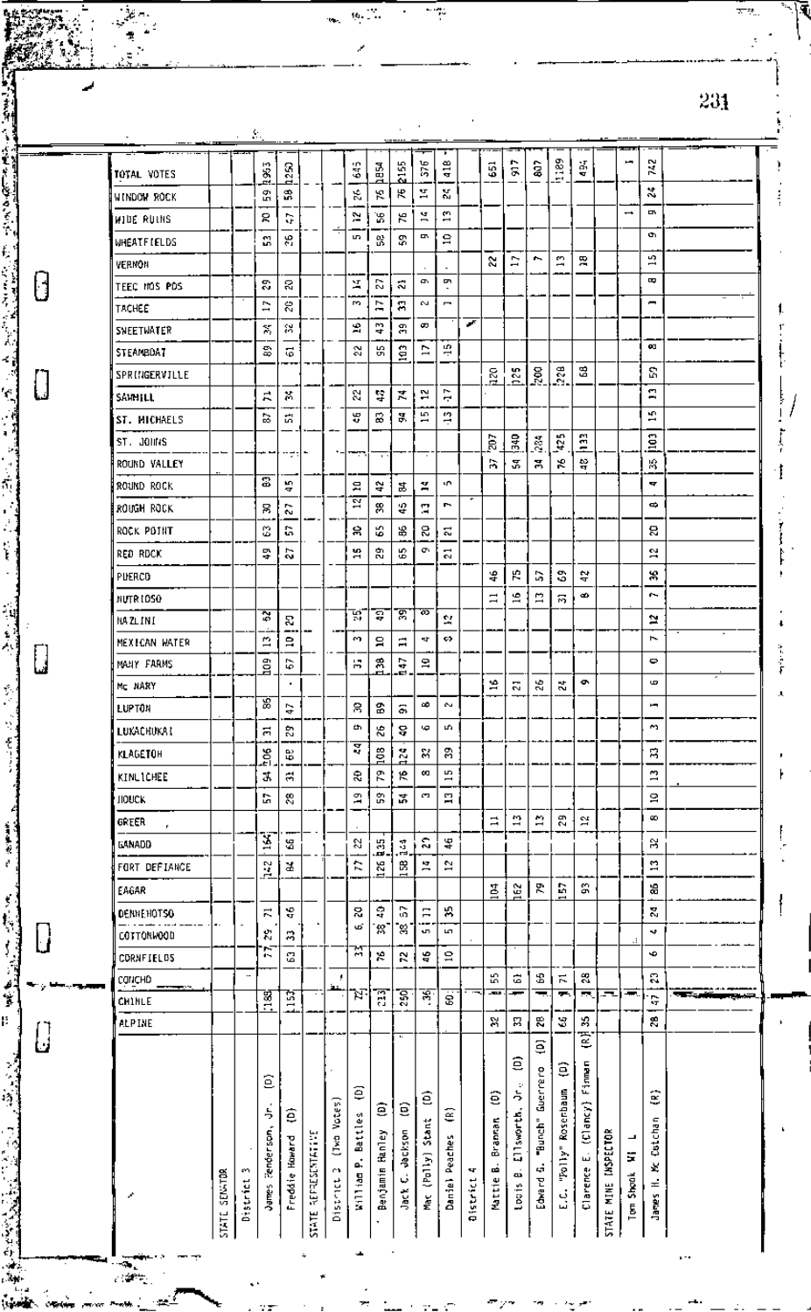| ورود النابان       |         | $\sim$ - $\sim$ |                         |                |                       |             |                         |              |                                                                                                                                                                                                                                       |               |                     |          |                   |                          |                |                           |                    |                  |                          |                               |                                         |
|--------------------|---------|-----------------|-------------------------|----------------|-----------------------|-------------|-------------------------|--------------|---------------------------------------------------------------------------------------------------------------------------------------------------------------------------------------------------------------------------------------|---------------|---------------------|----------|-------------------|--------------------------|----------------|---------------------------|--------------------|------------------|--------------------------|-------------------------------|-----------------------------------------|
| TOTAL VOTES        |         |                 | 1285                    | 1253           |                       |             | S.                      | hasa<br>Pa   | 235                                                                                                                                                                                                                                   | 576           | 418                 |          | 55                | $\frac{1}{2}$            | $\bf{\hat{s}}$ | husa                      | X.<br>A            |                  | щ                        | N<br>X                        |                                         |
| WINDOW ROCK        |         |                 | 옭                       | å,             |                       |             | 忘                       | К            | Ю                                                                                                                                                                                                                                     | Σ,            | Ž.                  |          |                   |                          |                |                           |                    |                  |                          | $\mathbf{x}$                  |                                         |
| WIDE RUINS         |         |                 | 5                       | G              |                       |             | ř.                      | ፝ቖ           | ж                                                                                                                                                                                                                                     | Ă             | $\mathbf{r}$        |          |                   |                          |                |                           |                    |                  | $\overline{\phantom{0}}$ | p,                            |                                         |
| <b>WHEATFIELDS</b> |         |                 | C,                      | 얺.             |                       | ÷           | S.                      | S,           | ኇ                                                                                                                                                                                                                                     | ņ             | g                   |          |                   |                          |                |                           |                    |                  |                          | ø,                            |                                         |
| VERNON             |         |                 |                         |                |                       |             |                         |              |                                                                                                                                                                                                                                       |               |                     |          | S.                | Þ                        | e.             | $\overline{13}$           | 凫                  |                  |                          | u)                            |                                         |
| TEEC MOS POS       |         |                 | g,                      | g              |                       |             | ¥,                      | S,           | ನ                                                                                                                                                                                                                                     | o.            | ç                   |          |                   |                          |                |                           |                    |                  |                          | B                             |                                         |
| TACHEE             |         |                 | $\overline{1}$          | g              |                       |             | PO.                     | Ħ            | Я                                                                                                                                                                                                                                     | N             | $\blacksquare$      |          |                   |                          |                |                           |                    |                  |                          | −                             |                                         |
| SNEETWATER         |         |                 | X                       | 斜              |                       |             | 翯                       | P.           | å,                                                                                                                                                                                                                                    | œ             |                     | ×        |                   |                          |                |                           |                    |                  |                          |                               |                                         |
| <b>STEAMBOAT</b>   |         |                 | \$                      | Ğ,             |                       |             | 2                       | 55           | 103                                                                                                                                                                                                                                   | Þ             | ÷,                  |          |                   |                          |                |                           |                    |                  |                          | œ                             |                                         |
| SPRINGERVILLE      |         |                 |                         |                |                       |             |                         |              |                                                                                                                                                                                                                                       |               |                     |          | $\overline{20}$   | pst                      | ğ              | $\tilde{z}$               | 멶                  |                  |                          | S                             |                                         |
| SAMMILL            |         |                 | A                       | ×              |                       |             | 8                       | ÷,           | X                                                                                                                                                                                                                                     | 52            | r.<br>÷             |          |                   |                          |                |                           |                    |                  |                          | <b>CT</b><br>⊷                |                                         |
| ST. MICHAELS       |         |                 | 능                       | S,             |                       |             | ¥                       | R,           | ā,                                                                                                                                                                                                                                    | E.            | ę.                  |          |                   |                          |                |                           |                    |                  |                          | £,                            |                                         |
| ST. JOHNS          |         |                 |                         |                |                       |             |                         |              |                                                                                                                                                                                                                                       |               |                     |          | ã                 | 윦                        | ž.             | 425                       | $\frac{133}{2}$    |                  |                          | $\frac{6}{2}$                 |                                         |
| ROUND VALLEY       |         |                 |                         | ----           |                       |             | نتسب                    | $\mathbf{r}$ |                                                                                                                                                                                                                                       | <b>.</b>      |                     |          | R                 | 모                        | Ħ,             | χ                         | ペ                  |                  |                          | 滑                             |                                         |
| ROUND ROCK         |         |                 | $\overline{\mathbf{z}}$ | E,<br>T        |                       |             | 읔                       | ٧            | 郜                                                                                                                                                                                                                                     | ¥,            | ነግ                  |          |                   |                          |                |                           |                    |                  |                          | 4                             |                                         |
| ROUGH ROCK         |         |                 | 8                       | r-<br>w        |                       |             | $\overline{\mathbb{N}}$ | 8            | g,                                                                                                                                                                                                                                    | П             | Ŀ                   |          |                   |                          |                |                           |                    |                  |                          | ¢                             |                                         |
| ROCK POINT         |         |                 | S                       | G              |                       |             | 倉                       | 65           | 8                                                                                                                                                                                                                                     | S             | Ξ                   |          |                   |                          |                |                           |                    |                  |                          | 8                             |                                         |
| RED RDCK           |         |                 | ₽                       | 2              |                       |             | S.                      | R,           | 59                                                                                                                                                                                                                                    | œ۱            | 51                  |          |                   |                          |                |                           |                    |                  |                          | ă,                            |                                         |
| PUERCO             |         |                 |                         |                |                       |             | $\mathbf{\mathbf{d}}$   |              |                                                                                                                                                                                                                                       |               |                     |          | ¥                 | ю                        | S,             | S                         | ç,                 |                  |                          | 箒                             |                                         |
| NUTR LOSO          |         |                 |                         |                |                       |             |                         |              |                                                                                                                                                                                                                                       |               |                     |          | $\Box$            | $\frac{6}{16}$           | 兽              | 륩                         | œ                  |                  |                          | c.                            |                                         |
| HA ZLINI           |         |                 | ন্ন                     | S.             |                       |             | W                       | ਝ            | ভ়                                                                                                                                                                                                                                    | ळ             | 핰                   |          |                   |                          |                |                           |                    |                  |                          | $\simeq$                      |                                         |
| MEXICAN WATER      |         |                 | 13                      | e              |                       |             | ł.                      | 口            | Ξ                                                                                                                                                                                                                                     | st.           | ¢>                  |          |                   |                          |                |                           |                    |                  |                          | 1                             |                                         |
| MALIY FARMS        |         |                 |                         | ç,             |                       |             | 僵                       | Å            | ş                                                                                                                                                                                                                                     | 웈             |                     |          |                   |                          |                |                           |                    |                  |                          | $\bullet$                     |                                         |
| Mr NARY            |         |                 | ទី                      | $\blacksquare$ |                       |             |                         |              | . с. на народни политички <u>политички и профе</u> рационално и политички и следи валика и вере и приваета и след политички и след политички и след и след политички и след политички и след по<br>След политички след политички след |               |                     |          | ÷,                | $\overline{\mathcal{D}}$ | 窝              | N,                        | ۰                  |                  |                          | G                             |                                         |
| LUPTON             |         |                 | इ                       | Ģ              |                       |             | 帛                       | 3            | s.                                                                                                                                                                                                                                    | œ             | e.                  |          |                   |                          |                |                           |                    |                  |                          | ь                             |                                         |
| LUKACHUKAT         |         |                 | Ξ                       | E,             |                       |             | a,                      | æ            | 8                                                                                                                                                                                                                                     | φ             | S.                  |          |                   |                          |                |                           |                    |                  |                          | ×,                            |                                         |
| KLAGETOH           |         |                 |                         |                |                       |             | इ                       |              |                                                                                                                                                                                                                                       | S,            | g                   |          |                   |                          |                |                           |                    |                  |                          | 舄                             |                                         |
|                    |         |                 | ğ                       | ₩              |                       |             |                         | 801<br>R     | 124<br>10                                                                                                                                                                                                                             | œ             | S                   |          |                   |                          |                |                           |                    |                  |                          | S                             |                                         |
| KINLICHEE          |         |                 | J,                      | а              |                       |             | £,<br>$\mathbb{Z}$      | ឌ            |                                                                                                                                                                                                                                       | C.            | $\overline{ }$<br>Н |          |                   |                          |                |                           |                    |                  |                          | $\overline{\phantom{0}}$<br>2 |                                         |
| <b>HOUCK</b>       |         |                 | G                       | 8              |                       |             |                         |              | 꾾                                                                                                                                                                                                                                     |               |                     |          |                   |                          | n              |                           |                    |                  |                          | œ                             |                                         |
| GREER<br>r.        |         |                 | Ý                       |                |                       |             |                         |              |                                                                                                                                                                                                                                       |               |                     |          | ₿                 | $\mathfrak{D}$           |                | E,                        | 2á                 |                  |                          |                               |                                         |
| <b>GANADD</b>      |         |                 |                         | S              |                       |             | S,                      | 呂<br>œ,      | Ñ,<br>Ē                                                                                                                                                                                                                               | g.            | ¥                   |          |                   |                          |                |                           |                    |                  |                          | R                             |                                         |
| FORT DEFIANCE      |         |                 | $\frac{1}{2}$           | ¥              |                       |             | R                       | X,           | 岊                                                                                                                                                                                                                                     | Ã             | 57                  |          |                   |                          |                |                           |                    |                  |                          | $\mathbf{r}$                  |                                         |
| EAGAR              |         |                 |                         |                |                       |             |                         |              |                                                                                                                                                                                                                                       |               |                     |          | 104               | hez                      | R,             | b.                        | g,                 |                  |                          | æ                             |                                         |
| DENNENOTSO         | ٠.      |                 | π                       | ÷,             |                       |             | S.<br>6                 | ş<br>'N      | 5<br>ଂ                                                                                                                                                                                                                                | Ξ             | ž,                  |          |                   |                          |                |                           |                    |                  |                          | Ś,                            |                                         |
| COTTONWOOD         |         |                 | R,                      | 舄              |                       |             | ਲ                       |              |                                                                                                                                                                                                                                       | us.           | L.                  |          |                   |                          |                |                           |                    |                  | .:                       | ÷                             |                                         |
| CORNETELOS         |         |                 | r,                      | G              |                       |             |                         | یو           | N                                                                                                                                                                                                                                     | ទុ            | g                   |          |                   |                          |                |                           |                    |                  |                          | é                             |                                         |
| CONCHO             |         | $\cdot$ -       |                         |                |                       | ٠           | 'n.                     |              |                                                                                                                                                                                                                                       |               |                     |          | S,<br><b>STAR</b> | Ġ<br>ł                   | £<br>╼         | $\overline{\kappa}$<br>π. | S.<br>$\sim$       | 5                | ж.                       | S                             | <b>The Company of the United States</b> |
| <b>CHINLE</b>      |         |                 | 図                       | É              |                       |             |                         | Ŧ            | g                                                                                                                                                                                                                                     | ষ্            | ġ                   |          |                   |                          |                |                           |                    |                  |                          | Ģ                             |                                         |
| <b>ALPINE</b>      |         |                 |                         |                |                       |             |                         |              |                                                                                                                                                                                                                                       |               |                     |          | X                 | 冩                        | 误              | 3                         | Y.<br>Ē            |                  |                          | 28                            |                                         |
|                    |         |                 |                         |                |                       |             |                         |              |                                                                                                                                                                                                                                       |               |                     |          |                   |                          | ε              |                           |                    |                  |                          |                               |                                         |
|                    |         |                 | ε                       |                |                       |             |                         |              |                                                                                                                                                                                                                                       |               |                     |          |                   | ε                        |                | ê                         | Finnen             |                  |                          |                               |                                         |
|                    |         |                 |                         |                |                       |             | €                       |              |                                                                                                                                                                                                                                       | ê             |                     |          | ê                 | ょ                        | Guerrero       |                           |                    |                  |                          | Ê                             |                                         |
|                    |         |                 | 5                       | ê              |                       | (Two Votes) |                         | Ξ            | ε                                                                                                                                                                                                                                     |               | ε                   |          |                   |                          |                | Rosenbaum                 | $(0 \text{~arcy})$ |                  |                          |                               |                                         |
|                    |         |                 |                         |                |                       |             | <b>Battles</b>          | Ranley       | dackson                                                                                                                                                                                                                               |               |                     |          | Brannan           | Ellsworth.               | "Bunch"        |                           |                    |                  | ⊣                        | Cutchan                       |                                         |
|                    |         | m               | renderson,              |                |                       | C)          | .<br>آھ                 |              |                                                                                                                                                                                                                                       | (Polly) Stant |                     | ч        | á                 |                          | $\mathcal{L}$  | "yilod"                   | û,                 | <b>INSPECTOR</b> | F                        | ¥,                            |                                         |
|                    | SENGTOR | Discrict        |                         | Freddie Howard | <b>REPRESENTATIVE</b> | District    | William                 | Benjamin     | نی                                                                                                                                                                                                                                    |               | Daniel Peaches      | District | Mattie            | œ                        | Edward         |                           | Clarence           | MINE             | Tom Shook                | ÷,                            |                                         |
|                    |         |                 | James                   |                |                       |             |                         |              | Jack                                                                                                                                                                                                                                  | Ne C          |                     |          |                   | topis                    |                | نې<br>نبا                 |                    |                  |                          | Janes                         |                                         |
|                    | STATE   |                 |                         |                | STATE<br>S            |             |                         |              |                                                                                                                                                                                                                                       |               |                     |          |                   |                          |                |                           |                    | STATE            |                          |                               |                                         |

 $\overline{\mathfrak{g}_\ell(\mathbb{Z})}$ 

្នុ

 $\frac{1}{\sqrt{2}}$ 

Ξ

 $23\bar{1}$ 

ī,

 $\overline{1}$ 

f

 $\ddotsc$ 

 $\begin{bmatrix} \phantom{-} \end{bmatrix}$ 

 $\frac{1}{2}$ 

 $\mathcal{L} = \mathcal{L} \left( \mathcal{L} \right)$  , where  $\mathcal{L} = \mathcal{L} \left( \mathcal{L} \right)$  , where  $\mathcal{L} = \mathcal{L} \left( \mathcal{L} \right)$  , where  $\mathcal{L} = \mathcal{L} \left( \mathcal{L} \right)$  , where  $\mathcal{L} = \mathcal{L} \left( \mathcal{L} \right)$  , where  $\mathcal{L} = \mathcal{L} \left( \mathcal{L} \right)$ 

 $\boldsymbol{\theta}$ 

 $\begin{array}{c} \boxed{1} \end{array}$ 

有無機 计 

 $\begin{bmatrix} \phantom{-} \end{bmatrix}$ 

 $\bigcup$ 

- 7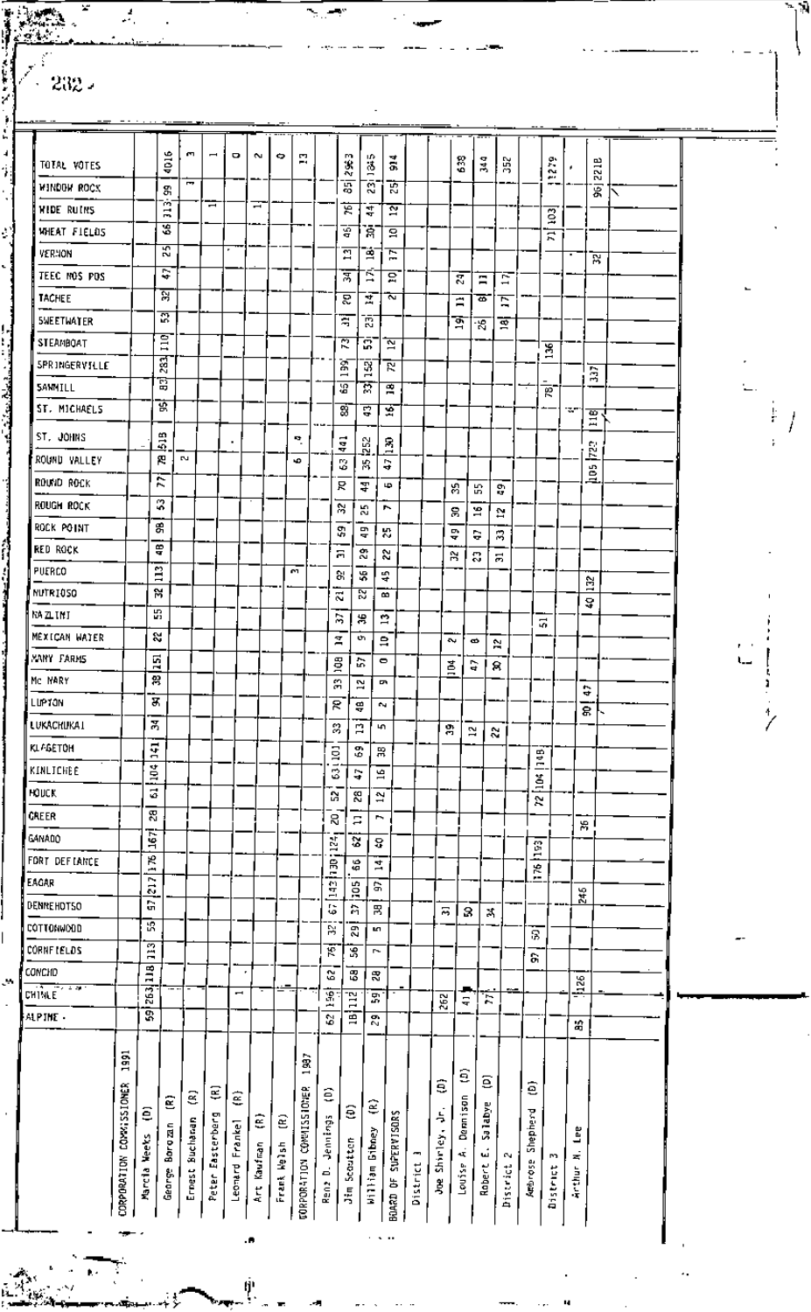| 4016<br>m,<br>۰<br>$\overline{ }$<br>$\sim$<br>Ó<br>P.<br>m<br>Ω.<br>₩<br>638<br>344<br>352<br>$\frac{5}{2}$<br>221B<br>$\frac{3}{2}$<br>ġ<br>흢<br>ديم<br>哥<br>៊<br>Ĩ.<br>贾<br>g,<br>冨<br>$\sim$<br>$\overline{\phantom{a}}$<br>÷<br>ভ়<br>ন্ন<br>콲<br>Ξ<br>$\overline{3}$<br>S<br>ਣੂ<br>Ğ,<br>요<br>ਨ਼<br>55<br>$\overline{\mathbb{Z}}$<br>弯<br>Ε<br>য়<br>Ş<br>Ξ<br>ल्ल<br>요<br>g<br>Ξ<br>Ξ<br>ম্ল<br>Z<br>Ā<br>2<br>Ξ<br>₿<br>Ξ<br>굜<br>ਬ<br>ā<br>জু<br>ż,<br>ভ্ৰ<br>$\overline{a}$<br>₹<br>ā<br>ন্ন<br>136<br>283<br>Ā<br>152<br>$\overline{\mathcal{R}}$<br>ā<br>$\overline{ }$<br>B<br>ত্ত<br>দ<br>霣<br>$\overline{\phantom{a}}$<br><u>ছ</u><br>寳<br>ఇ<br>इ<br>16<br>w.<br>$\mathbb{E}$<br>$\frac{3}{2}$<br>×,<br>$\frac{1}{4}$<br>252<br>$\frac{8}{1}$<br><b>RZ</b><br>四<br><b>N</b><br>s<br>S<br>G<br>器<br>8<br>Ë<br>⋍<br>R<br>국<br>ф<br>S,<br>χ<br>g,<br>2<br>ν<br>53<br>r<br>2<br>g<br>$\mathbf{r}$<br>옭<br>Ş,<br>목<br>器<br>쁳<br>Ş<br>3<br>흑<br>స్టి<br>2,<br>Я<br>Μ<br>3<br>51<br>$\ddot{a}$<br>CO.<br>허<br>¥,<br>뜫<br>Ε<br>A,<br>ನ<br>$\vec{v}$<br>B<br>å<br>뗢<br>B<br>暠<br>$\mathbf{r}$<br>류<br>×.<br>o.<br>Ξ<br>å<br>$\sim$<br>$\bullet$<br>N<br>51<br>g<br>흢<br>$\bullet$<br>Ģ<br>苫<br>8<br>兽<br>Я<br>12<br>ç<br>Ģ<br>З,<br>R<br>÷,<br>e.<br>ङ्क<br>Ã<br>3<br>Ľ,<br>47<br>흙<br>$\mathbf{z}$<br>s.<br>141<br>3<br>g<br>黑<br>liaB.<br>104<br>19<br>З<br>٥<br>ă<br>ă<br>S,<br>8<br>G<br>$\mathbf{r}$<br>Ñ<br>8<br>R<br>r,<br>Ξ<br>₩.<br>Ş<br>Š<br>e.<br>8<br>$\frac{2}{2}$<br>$\frac{1}{2}$<br>06 d 2 b 1<br>å,<br>4<br>У.<br>$\overline{\phantom{a}}$<br>$\overline{z}$<br>aor.<br>Ğ,<br>245<br>ធ<br>G<br>台<br>呂<br>鬲<br>з<br>×<br>识<br>B<br>g,<br>L.<br>Я<br>$\overline{13}$<br>F<br>56<br>r-<br>S,<br>$\overline{13}$<br>٠<br>S,<br>3<br>需<br>$\frac{56}{126}$<br>75<br>$\overline{\phantom{0}}$<br>罰<br>Έ<br>몺<br>262<br>Έ<br>듁<br>ā<br>Ē<br>2<br>29<br>â<br><b>S</b><br>1997<br>ε<br>ε<br>ŝ<br>ē<br>COMMISSIONER<br>CONNIESS IONER<br>€<br>Ξ<br>€<br>ළ<br>Dennison<br>Ξ<br>€<br>Salabye<br>ê<br>έ<br>Shepherd<br>Ę<br>SUPERVISORS<br>Peter Easterberg<br>ε<br>මූ<br>Jennings<br>Ernest Buchanan<br>Leonard Frankel<br>Borgzan<br>Lee<br>William Gibney<br>Joe Shirley.<br>Marcia Weeks<br>Scoutten<br>Frank Helsh<br>Kaufinan<br>4ť<br>ш<br>e.<br>S<br>×,<br><b>CORPORATION</b><br><b>CORPORATION</b><br><b>Arthrose</b><br>District<br>Robert<br>Louise<br><b>Discrict</b><br><b>District</b><br>d,<br>Anthur<br>George<br><b>BOARD OF</b><br>Ren2 | ALPINE - | <b>CHINEE</b> | CONCHO | <b>CORNETELDS</b> | COTTONWOOD | DENNEHOTSO | EAGAR | FORT DEFIANCE | GANADO | CREER | KINFICHEE<br>HOUCK | KL-GETOH | LUKACHUKAI | ⊪LUP⊺an | Mc NARY | XANY FARMS | MEXICAN WATER | KA ZLINI | NUTRIOSO | PUERCO | <b>RED ROCK</b> | ROCK POINT | Rough Rock | round rock | ROUND VALLEY | ST. JOHNS | ST. MICHAELS | SANHILL | <b>SPRINGERVILLE</b> | STEAMBOAT | SWEETWATER | <b>TACHEE</b> | TEEC MOS POS | VERNON | WHEAT FIELDS | WIDE RUINS | TOTAL VOTES<br>WINDOW ROCK |  |
|---------------------------------------------------------------------------------------------------------------------------------------------------------------------------------------------------------------------------------------------------------------------------------------------------------------------------------------------------------------------------------------------------------------------------------------------------------------------------------------------------------------------------------------------------------------------------------------------------------------------------------------------------------------------------------------------------------------------------------------------------------------------------------------------------------------------------------------------------------------------------------------------------------------------------------------------------------------------------------------------------------------------------------------------------------------------------------------------------------------------------------------------------------------------------------------------------------------------------------------------------------------------------------------------------------------------------------------------------------------------------------------------------------------------------------------------------------------------------------------------------------------------------------------------------------------------------------------------------------------------------------------------------------------------------------------------------------------------------------------------------------------------------------------------------------------------------------------------------------------------------------------------------------------------------------------------------------------------------------------------------------------------------------------------------------------------------------------------------------------------------------------------------------------------------------------------------------------------------------------------------------------------------------------------------------------------------------------------------------------------------------------------------------------------------------------------------------------------|----------|---------------|--------|-------------------|------------|------------|-------|---------------|--------|-------|--------------------|----------|------------|---------|---------|------------|---------------|----------|----------|--------|-----------------|------------|------------|------------|--------------|-----------|--------------|---------|----------------------|-----------|------------|---------------|--------------|--------|--------------|------------|----------------------------|--|
|                                                                                                                                                                                                                                                                                                                                                                                                                                                                                                                                                                                                                                                                                                                                                                                                                                                                                                                                                                                                                                                                                                                                                                                                                                                                                                                                                                                                                                                                                                                                                                                                                                                                                                                                                                                                                                                                                                                                                                                                                                                                                                                                                                                                                                                                                                                                                                                                                                                                     |          |               |        |                   |            |            |       |               |        |       |                    |          |            |         |         |            |               |          |          |        |                 |            |            |            |              |           |              |         |                      |           |            |               |              |        |              |            |                            |  |
|                                                                                                                                                                                                                                                                                                                                                                                                                                                                                                                                                                                                                                                                                                                                                                                                                                                                                                                                                                                                                                                                                                                                                                                                                                                                                                                                                                                                                                                                                                                                                                                                                                                                                                                                                                                                                                                                                                                                                                                                                                                                                                                                                                                                                                                                                                                                                                                                                                                                     |          |               |        |                   |            |            |       |               |        |       |                    |          |            |         |         |            |               |          |          |        |                 |            |            |            |              |           |              |         |                      |           |            |               |              |        |              |            |                            |  |
|                                                                                                                                                                                                                                                                                                                                                                                                                                                                                                                                                                                                                                                                                                                                                                                                                                                                                                                                                                                                                                                                                                                                                                                                                                                                                                                                                                                                                                                                                                                                                                                                                                                                                                                                                                                                                                                                                                                                                                                                                                                                                                                                                                                                                                                                                                                                                                                                                                                                     |          |               |        |                   |            |            |       |               |        |       |                    |          |            |         |         |            |               |          |          |        |                 |            |            |            |              |           |              |         |                      |           |            |               |              |        |              |            |                            |  |
|                                                                                                                                                                                                                                                                                                                                                                                                                                                                                                                                                                                                                                                                                                                                                                                                                                                                                                                                                                                                                                                                                                                                                                                                                                                                                                                                                                                                                                                                                                                                                                                                                                                                                                                                                                                                                                                                                                                                                                                                                                                                                                                                                                                                                                                                                                                                                                                                                                                                     |          |               |        |                   |            |            |       |               |        |       |                    |          |            |         |         |            |               |          |          |        |                 |            |            |            |              |           |              |         |                      |           |            |               |              |        |              |            |                            |  |
|                                                                                                                                                                                                                                                                                                                                                                                                                                                                                                                                                                                                                                                                                                                                                                                                                                                                                                                                                                                                                                                                                                                                                                                                                                                                                                                                                                                                                                                                                                                                                                                                                                                                                                                                                                                                                                                                                                                                                                                                                                                                                                                                                                                                                                                                                                                                                                                                                                                                     |          |               |        |                   |            |            |       |               |        |       |                    |          |            |         |         |            |               |          |          |        |                 |            |            |            |              |           |              |         |                      |           |            |               |              |        |              |            |                            |  |
|                                                                                                                                                                                                                                                                                                                                                                                                                                                                                                                                                                                                                                                                                                                                                                                                                                                                                                                                                                                                                                                                                                                                                                                                                                                                                                                                                                                                                                                                                                                                                                                                                                                                                                                                                                                                                                                                                                                                                                                                                                                                                                                                                                                                                                                                                                                                                                                                                                                                     |          |               |        |                   |            |            |       |               |        |       |                    |          |            |         |         |            |               |          |          |        |                 |            |            |            |              |           |              |         |                      |           |            |               |              |        |              |            |                            |  |
|                                                                                                                                                                                                                                                                                                                                                                                                                                                                                                                                                                                                                                                                                                                                                                                                                                                                                                                                                                                                                                                                                                                                                                                                                                                                                                                                                                                                                                                                                                                                                                                                                                                                                                                                                                                                                                                                                                                                                                                                                                                                                                                                                                                                                                                                                                                                                                                                                                                                     |          |               |        |                   |            |            |       |               |        |       |                    |          |            |         |         |            |               |          |          |        |                 |            |            |            |              |           |              |         |                      |           |            |               |              |        |              |            |                            |  |
|                                                                                                                                                                                                                                                                                                                                                                                                                                                                                                                                                                                                                                                                                                                                                                                                                                                                                                                                                                                                                                                                                                                                                                                                                                                                                                                                                                                                                                                                                                                                                                                                                                                                                                                                                                                                                                                                                                                                                                                                                                                                                                                                                                                                                                                                                                                                                                                                                                                                     |          |               |        |                   |            |            |       |               |        |       |                    |          |            |         |         |            |               |          |          |        |                 |            |            |            |              |           |              |         |                      |           |            |               |              |        |              |            |                            |  |
|                                                                                                                                                                                                                                                                                                                                                                                                                                                                                                                                                                                                                                                                                                                                                                                                                                                                                                                                                                                                                                                                                                                                                                                                                                                                                                                                                                                                                                                                                                                                                                                                                                                                                                                                                                                                                                                                                                                                                                                                                                                                                                                                                                                                                                                                                                                                                                                                                                                                     |          |               |        |                   |            |            |       |               |        |       |                    |          |            |         |         |            |               |          |          |        |                 |            |            |            |              |           |              |         |                      |           |            |               |              |        |              |            |                            |  |
|                                                                                                                                                                                                                                                                                                                                                                                                                                                                                                                                                                                                                                                                                                                                                                                                                                                                                                                                                                                                                                                                                                                                                                                                                                                                                                                                                                                                                                                                                                                                                                                                                                                                                                                                                                                                                                                                                                                                                                                                                                                                                                                                                                                                                                                                                                                                                                                                                                                                     |          |               |        |                   |            |            |       |               |        |       |                    |          |            |         |         |            |               |          |          |        |                 |            |            |            |              |           |              |         |                      |           |            |               |              |        |              |            |                            |  |
|                                                                                                                                                                                                                                                                                                                                                                                                                                                                                                                                                                                                                                                                                                                                                                                                                                                                                                                                                                                                                                                                                                                                                                                                                                                                                                                                                                                                                                                                                                                                                                                                                                                                                                                                                                                                                                                                                                                                                                                                                                                                                                                                                                                                                                                                                                                                                                                                                                                                     |          |               |        |                   |            |            |       |               |        |       |                    |          |            |         |         |            |               |          |          |        |                 |            |            |            |              |           |              |         |                      |           |            |               |              |        |              |            |                            |  |
|                                                                                                                                                                                                                                                                                                                                                                                                                                                                                                                                                                                                                                                                                                                                                                                                                                                                                                                                                                                                                                                                                                                                                                                                                                                                                                                                                                                                                                                                                                                                                                                                                                                                                                                                                                                                                                                                                                                                                                                                                                                                                                                                                                                                                                                                                                                                                                                                                                                                     |          |               |        |                   |            |            |       |               |        |       |                    |          |            |         |         |            |               |          |          |        |                 |            |            |            |              |           |              |         |                      |           |            |               |              |        |              |            |                            |  |
|                                                                                                                                                                                                                                                                                                                                                                                                                                                                                                                                                                                                                                                                                                                                                                                                                                                                                                                                                                                                                                                                                                                                                                                                                                                                                                                                                                                                                                                                                                                                                                                                                                                                                                                                                                                                                                                                                                                                                                                                                                                                                                                                                                                                                                                                                                                                                                                                                                                                     |          |               |        |                   |            |            |       |               |        |       |                    |          |            |         |         |            |               |          |          |        |                 |            |            |            |              |           |              |         |                      |           |            |               |              |        |              |            |                            |  |
|                                                                                                                                                                                                                                                                                                                                                                                                                                                                                                                                                                                                                                                                                                                                                                                                                                                                                                                                                                                                                                                                                                                                                                                                                                                                                                                                                                                                                                                                                                                                                                                                                                                                                                                                                                                                                                                                                                                                                                                                                                                                                                                                                                                                                                                                                                                                                                                                                                                                     |          |               |        |                   |            |            |       |               |        |       |                    |          |            |         |         |            |               |          |          |        |                 |            |            |            |              |           |              |         |                      |           |            |               |              |        |              |            |                            |  |
|                                                                                                                                                                                                                                                                                                                                                                                                                                                                                                                                                                                                                                                                                                                                                                                                                                                                                                                                                                                                                                                                                                                                                                                                                                                                                                                                                                                                                                                                                                                                                                                                                                                                                                                                                                                                                                                                                                                                                                                                                                                                                                                                                                                                                                                                                                                                                                                                                                                                     |          |               |        |                   |            |            |       |               |        |       |                    |          |            |         |         |            |               |          |          |        |                 |            |            |            |              |           |              |         |                      |           |            |               |              |        |              |            |                            |  |
|                                                                                                                                                                                                                                                                                                                                                                                                                                                                                                                                                                                                                                                                                                                                                                                                                                                                                                                                                                                                                                                                                                                                                                                                                                                                                                                                                                                                                                                                                                                                                                                                                                                                                                                                                                                                                                                                                                                                                                                                                                                                                                                                                                                                                                                                                                                                                                                                                                                                     |          |               |        |                   |            |            |       |               |        |       |                    |          |            |         |         |            |               |          |          |        |                 |            |            |            |              |           |              |         |                      |           |            |               |              |        |              |            |                            |  |
|                                                                                                                                                                                                                                                                                                                                                                                                                                                                                                                                                                                                                                                                                                                                                                                                                                                                                                                                                                                                                                                                                                                                                                                                                                                                                                                                                                                                                                                                                                                                                                                                                                                                                                                                                                                                                                                                                                                                                                                                                                                                                                                                                                                                                                                                                                                                                                                                                                                                     |          |               |        |                   |            |            |       |               |        |       |                    |          |            |         |         |            |               |          |          |        |                 |            |            |            |              |           |              |         |                      |           |            |               |              |        |              |            |                            |  |
|                                                                                                                                                                                                                                                                                                                                                                                                                                                                                                                                                                                                                                                                                                                                                                                                                                                                                                                                                                                                                                                                                                                                                                                                                                                                                                                                                                                                                                                                                                                                                                                                                                                                                                                                                                                                                                                                                                                                                                                                                                                                                                                                                                                                                                                                                                                                                                                                                                                                     |          |               |        |                   |            |            |       |               |        |       |                    |          |            |         |         |            |               |          |          |        |                 |            |            |            |              |           |              |         |                      |           |            |               |              |        |              |            |                            |  |
|                                                                                                                                                                                                                                                                                                                                                                                                                                                                                                                                                                                                                                                                                                                                                                                                                                                                                                                                                                                                                                                                                                                                                                                                                                                                                                                                                                                                                                                                                                                                                                                                                                                                                                                                                                                                                                                                                                                                                                                                                                                                                                                                                                                                                                                                                                                                                                                                                                                                     |          |               |        |                   |            |            |       |               |        |       |                    |          |            |         |         |            |               |          |          |        |                 |            |            |            |              |           |              |         |                      |           |            |               |              |        |              |            |                            |  |
|                                                                                                                                                                                                                                                                                                                                                                                                                                                                                                                                                                                                                                                                                                                                                                                                                                                                                                                                                                                                                                                                                                                                                                                                                                                                                                                                                                                                                                                                                                                                                                                                                                                                                                                                                                                                                                                                                                                                                                                                                                                                                                                                                                                                                                                                                                                                                                                                                                                                     |          |               |        |                   |            |            |       |               |        |       |                    |          |            |         |         |            |               |          |          |        |                 |            |            |            |              |           |              |         |                      |           |            |               |              |        |              |            |                            |  |
|                                                                                                                                                                                                                                                                                                                                                                                                                                                                                                                                                                                                                                                                                                                                                                                                                                                                                                                                                                                                                                                                                                                                                                                                                                                                                                                                                                                                                                                                                                                                                                                                                                                                                                                                                                                                                                                                                                                                                                                                                                                                                                                                                                                                                                                                                                                                                                                                                                                                     |          |               |        |                   |            |            |       |               |        |       |                    |          |            |         |         |            |               |          |          |        |                 |            |            |            |              |           |              |         |                      |           |            |               |              |        |              |            |                            |  |
|                                                                                                                                                                                                                                                                                                                                                                                                                                                                                                                                                                                                                                                                                                                                                                                                                                                                                                                                                                                                                                                                                                                                                                                                                                                                                                                                                                                                                                                                                                                                                                                                                                                                                                                                                                                                                                                                                                                                                                                                                                                                                                                                                                                                                                                                                                                                                                                                                                                                     |          |               |        |                   |            |            |       |               |        |       |                    |          |            |         |         |            |               |          |          |        |                 |            |            |            |              |           |              |         |                      |           |            |               |              |        |              |            |                            |  |
|                                                                                                                                                                                                                                                                                                                                                                                                                                                                                                                                                                                                                                                                                                                                                                                                                                                                                                                                                                                                                                                                                                                                                                                                                                                                                                                                                                                                                                                                                                                                                                                                                                                                                                                                                                                                                                                                                                                                                                                                                                                                                                                                                                                                                                                                                                                                                                                                                                                                     |          |               |        |                   |            |            |       |               |        |       |                    |          |            |         |         |            |               |          |          |        |                 |            |            |            |              |           |              |         |                      |           |            |               |              |        |              |            |                            |  |
|                                                                                                                                                                                                                                                                                                                                                                                                                                                                                                                                                                                                                                                                                                                                                                                                                                                                                                                                                                                                                                                                                                                                                                                                                                                                                                                                                                                                                                                                                                                                                                                                                                                                                                                                                                                                                                                                                                                                                                                                                                                                                                                                                                                                                                                                                                                                                                                                                                                                     |          |               |        |                   |            |            |       |               |        |       |                    |          |            |         |         |            |               |          |          |        |                 |            |            |            |              |           |              |         |                      |           |            |               |              |        |              |            |                            |  |

 $-232$ 

 $\frac{2}{\sigma_{\rm{B}}^2}$ 

l,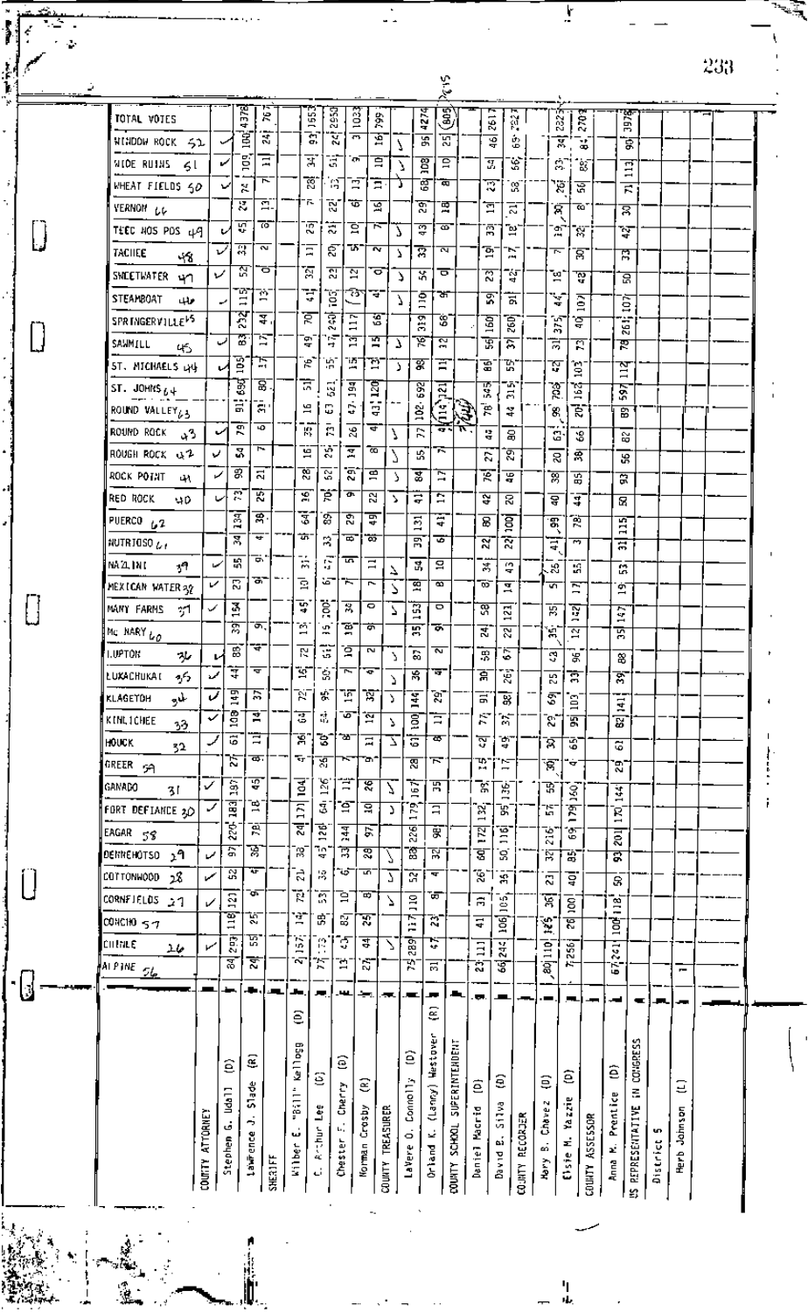|                              |                 |                    |                |                         |                |               |                      |                         |                  |        |                                | ζ÷,                     |                |                     |                         |                |                        |             |                       |                    |                                |          |         | ሩ∪₫ |  |
|------------------------------|-----------------|--------------------|----------------|-------------------------|----------------|---------------|----------------------|-------------------------|------------------|--------|--------------------------------|-------------------------|----------------|---------------------|-------------------------|----------------|------------------------|-------------|-----------------------|--------------------|--------------------------------|----------|---------|-----|--|
| TOTAL VOTES                  |                 |                    | ह्र            | Ŕ                       |                | g             | 293                  | ន្ទី                    | Ş,               |        | 1274                           | 5                       |                |                     | 76 I                    | ä,             |                        | 232 T       | $\tilde{\mathcal{E}}$ |                    | 3978                           |          |         |     |  |
| NINDOW ROCK SI               |                 |                    | ч<br>Š         | द्भ                     |                | ā             | ΣÏ                   | $\overline{ }$          | Ě                | N      | 冨                              | দ্ভ                     |                |                     | ত্ব                     | 魯              |                        | Ā           | ¥                     |                    | इ                              |          |         |     |  |
| MIDE RUINS<br>51             |                 | ✓                  | g              | Ξ                       |                | त्र           | Ŧ                    | m                       | Ξ                | Δ      | <b>Bat</b>                     | ਭ                       |                |                     | ञ्ज                     | Ś,             |                        | 81          | ់នេះ                  |                    | Ξ                              |          |         |     |  |
| WHEAT FIELDS SO              |                 | v                  | X              | ᅚ                       |                | Ŕ.            | ់ផ្                  | Ē                       | Ξ                |        | ङ्क                            | ক                       |                |                     | হ                       | ಜ              |                        | 18 I        | ভ্ল                   |                    | $\overline{\phantom{0}}$<br>Б. |          |         |     |  |
| VERNON LL                    |                 |                    | ≅              | Ξ.                      |                | 'n.           | 79.                  | ₩                       | 宮                |        | হ্ম                            | 覃                       |                |                     | ៊                       | ਨੋ             |                        | প           | 70                    |                    | র                              |          |         |     |  |
| TEEC HOS PDS 49              |                 | ୰                  | ত়             | 70                      |                | ত্ত           | 2                    | ੜ                       | ਨ                | Ĺ      | ु                              | ø.                      |                |                     | Ā                       | "¤.            |                        | Ţ           | Ñ                     |                    | ¥                              |          |         |     |  |
| TACIIEE                      |                 | ✓                  | ন              | $\overline{\mathbf{z}}$ |                | Ξ             | న్                   | T.                      | Ñ                | Υ      | ন্ন                            | ₹                       |                |                     | គ្ន                     | w<br>Æщ        |                        | ᅮ           | ੱੜ                    |                    | 贾                              |          |         |     |  |
| -18<br>SNEETWATER Y          | ν               |                    | মি             | ਠ                       |                | ធ             | ລ                    | $\overline{\mathbb{Z}}$ | ರ                | Δ      | ऊँ                             | ०                       |                | ಔ                   |                         | ៉ុ             |                        | 꾇           | ៉ុ                    |                    | ਫ਼                             |          |         |     |  |
| STEAMBOAT<br>حالجا           |                 | ↩                  | 77<br>$\Xi$    | Ä                       |                | Ţ             | ិទ្ធ                 | 75                      | Ŧ                | У      | ់ទី                            | ਬਾ                      |                |                     | হ                       | 긄              |                        | ¥           |                       |                    |                                |          |         |     |  |
| SPRINGERVILLE <sup>15</sup>  |                 |                    | 정              | ₹.                      |                | ই             | ই                    | r                       | জু               |        | g                              | 8                       |                | 160                 |                         | 76D)           |                        |             | ā<br>ड़               |                    | İÖŽ                            |          |         |     |  |
| SAMMILL                      |                 | ر                  | 窩              | ਬ                       |                | ់ឡ            | e.<br>់ភ្            | Ξ<br>Ā                  | 寶                | У      | ভূ                             | মু                      |                | জ                   |                         | ন্ন            | ਸ਼                     | Ã           | ন                     |                    | Z61:<br>喪                      |          |         |     |  |
| 45<br>ST. MICHAELS LYL       |                 | B                  | Ę              |                         |                | هي.           | W                    | .بي.<br>س               | Ŧ.               | J.     | ङ्क                            | ਵ                       |                | 로.                  |                         | 껎.             | সু                     |             |                       |                    |                                |          |         |     |  |
| ST. JOHNS $b +$              |                 |                    | 3              | 요.                      |                | त्र           | $\overline{3}$       | $\overline{a}$          | Ā                |        |                                |                         |                | हु                  |                         | w              |                        | ិទ្ធ<br>٦Ś  |                       |                    | PI                             |          |         |     |  |
| ROUND VALLEY 63              |                 | 듮                  | 중1             |                         |                | 51            | C                    | Ś                       | ۰.<br>ę          |        | $\overline{\mathbf{5}}$<br>ġ   | ਕ਼ੁ                     |                | e                   |                         | $\vec{r}$<br>¥ | 8.                     | हैं,        | Ē                     | 597                | 窗                              |          |         |     |  |
| ROUND ROCK                   |                 | ر،                 | ह<br>ज         |                         |                | 牌             | Ē.                   | $\mathbb{Z}^2$          | ਚ                | J      | R                              | é<br>99 N               | È.             | 쁳                   |                         |                |                        |             |                       |                    |                                |          |         |     |  |
| دن<br>ROUGH ROCK & 2         | v               | 3                  | $\overline{r}$ |                         |                | g             | Ŕ.                   | ᡜ                       | ळ                | 7      | ъ,                             | π                       |                |                     |                         | g<br>ত্ত       |                        | G.          | 3<br>索                |                    | ន្ល                            |          |         |     |  |
| ROCK POTAT<br>ч٨             | ↙               | इर                 | 등              |                         |                | श्ल           | 2.                   | నే                      | ਭੁ               | λ      | ड                              | Ξ                       |                | S.<br>下             |                         | ভ্ৰ            | ভ্ল                    | ន<br>꼶      |                       |                    | æ<br>द्व                       |          |         |     |  |
| RED ROCK                     |                 | 霓                  | 需              |                         |                | হ             | Þ.                   | ¢                       | Ñ                | У      | 륳                              | Ξ                       |                | ঽ                   |                         | g              |                        |             |                       |                    |                                |          |         |     |  |
| 40<br>PUERCO <sub>62</sub>   |                 | इ                  | ল্ল            |                         |                | इ             | T                    | 29                      | म्र              |        | 鬲                              | Ŧ                       |                | B.                  |                         |                | ত্ব<br>Ŧ.              | द<br>ই      |                       |                    | $\mathbf{B}$                   |          |         |     |  |
| NUTRIUSO $\mu_I$             |                 | r.<br>≅            | ≖              |                         |                | ,             | 2                    | Đ,                      | ळ                |        | 冨                              | ङ                       |                | ন্ন                 | Ñ                       | ਭੂ             |                        | £           |                       | E                  |                                |          |         |     |  |
| NAZINI.<br>39.               | مما             | 삆                  | ≖.             |                         | ÷,             |               | G                    | 5                       | $\Xi$            |        | S.                             | 욬                       |                |                     |                         | CO.            | Ŧ                      |             |                       | ੜ                  |                                |          |         |     |  |
| MEXICAN WATER 32             | ✓               | ন্ন                | 공구             |                         | ឨ              |               | చా                   | ≂                       | $\overline{r}$   | ℶ<br>2 | ভ্ৰ                            | ब                       |                | 嵩<br>ಠ್             | ᡜ                       | ч.             | æ.<br>ज                | -Я<br>Ξ     |                       | ø۲                 | w.                             |          |         |     |  |
| MANY FARMS<br>η1             | ✓               | ă                  |                |                         | Ŧ              |               | ë                    | 哥                       | ۰                | 7      | 冨                              | ۰                       |                | ল্ল                 | $\overline{\mathbf{z}}$ |                | ਲ                      | 耍           |                       | ⊣                  |                                |          |         |     |  |
| MC NARY LO                   |                 | ন্ন                | क.             |                         | m,             |               | $\tilde{\mathbf{u}}$ | 弯                       | ぁ                |        | $\overline{\phantom{0}}$<br>ਲ਼ | ᅗ                       |                | न्न'                | ন্ত                     |                | ្ព                     | ন্ন         |                       | Ş<br>⊣<br>ত্ন      |                                |          |         |     |  |
| I.UPTON<br>ᄮ                 |                 | इ                  | क−             |                         | ह              |               | Ŧ                    | ্ব                      | 2                |        | $\overline{\mathbf{a}}$        | $\overline{\mathbf{r}}$ |                | 贾                   | 5                       |                | ভ                      | 架           |                       |                    |                                |          |         |     |  |
| $\gamma$<br>LUXACHUKAT       | مممنا           | ₹                  | च              |                         | $\overline{z}$ |               | $\mathbb{S}$         | ſ                       | ¢                | Υ      | ৼ                              | Ψ                       |                | ਵੇਂ                 | É                       |                |                        | ह           |                       | ∾<br>ङ्ग           |                                |          |         |     |  |
| لجابو<br><b>KLAGETOH</b>     | Ú               | 물                  | 淸              |                         | Ñ              | 豪             |                      | Τŗ                      | Ā                | J<br>Σ | ¥                              | Ŕ.                      |                | 금                   | 哥                       |                | 25<br>T                |             |                       |                    |                                |          |         |     |  |
| KINL1CHEE                    | ✓               | ě                  | ₹              |                         | ड              | đ,            |                      | Ō                       | ៊ុ               | Σ      | g                              | Ξ                       |                | Ŕ,                  | Т,                      |                | Ŕ,                     | ់ឱ្យ<br>ত্ন |                       | $\frac{1}{4}$<br>ভ |                                |          |         |     |  |
| 33<br>HOUCK                  | لوب             | 5                  | Ξ              |                         | Ā              | 3             |                      | - 25                    | 급                | 7      | ā                              | क                       |                | ন্ত                 | ិដ្ឋ                    |                | র                      | 3           |                       | ढ                  |                                |          |         |     |  |
| 32<br>GREER 59               |                 | ν                  | क.             |                         | т,             | স্ত           |                      | ĸ                       | ъ,               |        | ন্ন                            | ᡵ                       |                | 꽋                   | Ĕ                       |                | 冨                      | ÷           |                       | Ŧ,                 |                                |          |         |     |  |
| GANADO                       | ✓               | $\frac{5}{2}$      | ç              |                         | $\overline{a}$ | 126           |                      | Ë                       | ৼ                | J      | Ē                              | 굙                       |                | K                   |                         |                | Ŗ                      |             |                       |                    |                                |          |         |     |  |
| 31<br>FORT DEFIANCE 30       | ✓               | 哥                  | Ē,             |                         | $\overline{5}$ | Ī             |                      | ់ទី                     | ਭ                | У      | 179                            | $\overline{\mathbf{a}}$ |                |                     | Š<br>ĸ                  |                | Ħ                      | 360         |                       | ¥                  |                                |          |         |     |  |
| EAGAR 58                     |                 | 25                 | Ā              |                         | ह              | 훧             | $\frac{44}{3}$       |                         | 5                |        | ষ্ট্ৰ                          | झ                       |                | $\overline{5}$      |                         |                |                        | per.<br>Ġ,  |                       | g                  |                                |          |         |     |  |
| DENNEHOTSO<br><sub>ን</sub> ባ | ممسا            | 돐                  | प्ल            |                         | Ŧ              | "†.           | ন্ন                  |                         | হু               |        | ğ                              | ន                       |                | $\overline{1}$<br>ड | Ē<br>g                  |                | ă<br>Ħ                 | ä,          |                       | ह<br>द्व           |                                |          |         |     |  |
| 28<br>COTTONWOOD             | سما             | S.                 | Ŧ              |                         | <u>្អ</u>      | 呂             | و:                   |                         | क                | J<br>7 | $\overline{\mathbb{R}}$        | ष                       |                | Ŕ,                  | Ā                       |                |                        | ਭ੍ਰ         |                       |                    |                                |          |         |     |  |
| CORNFIELDS 27                | ✓               | $^{12}$            | ক              |                         | Ŕ              | ā             | ā                    |                         | Ξ,               | 7      |                                | क्र                     |                | 吊                   |                         |                | S.<br>ছ                |             |                       | 8                  |                                |          |         |     |  |
| <b>CONCHO</b> 57             |                 | $\frac{1}{2}$      | W              |                         | Ê              | 雷             | 冨                    |                         | Τ                |        | $\frac{8}{1}$<br>Ã             | Ŕ,                      |                | Ŧ                   | 105                     |                |                        | ğ<br>ह      |                       | $\frac{8}{12}$     |                                |          |         |     |  |
| CILINEE                      | مما             | Ē                  | 펊              |                         | ă              | g             | Ţ                    | इ                       |                  | ↘      |                                | Ņ                       |                |                     | g                       |                | Ľ                      |             |                       | ğ                  |                                |          |         |     |  |
| $\perp \varphi$              |                 | ह                  | ≅              |                         | Ñ              | Ã             | Ë                    |                         | 15               |        | 389<br>K)                      | 冨                       |                | $\Xi$<br>ä          | 공<br>ত্ত                |                | $\overline{10}$<br>зă. | 361<br>K.   |                       | $\vec{z}$<br>Ė.    |                                |          |         |     |  |
| AI PINE 56                   |                 |                    | л.             | $\mathbf{r}$            |                |               |                      |                         |                  |        |                                |                         |                |                     |                         |                |                        |             |                       |                    |                                |          | -       |     |  |
|                              |                 |                    |                |                         | ۰.             | л.            | ×ц,                  |                         | ∸.               |        | æ.                             | æ                       | л,             | ъ.                  | -                       |                |                        | - 1         |                       | اد.                | ਵ                              | м.       | -       |     |  |
|                              |                 |                    |                |                         | €              |               |                      |                         |                  |        |                                | ε                       |                |                     |                         |                |                        |             |                       |                    |                                |          |         |     |  |
|                              |                 |                    |                |                         |                |               |                      |                         |                  |        |                                |                         |                |                     |                         |                |                        |             |                       |                    |                                |          |         |     |  |
|                              |                 | έ                  | E              |                         | kelleg         | 8             | මු                   |                         |                  |        | ê                              |                         |                |                     |                         |                |                        | ê           |                       | ê                  | CO. GRESS                      |          |         |     |  |
|                              |                 | Irda <sup>11</sup> | Slade          |                         | "Bill"         |               | Cherry               | ε                       |                  |        | Connol 1y                      | (Lanny) Hestover        | SUPERINTENDENT | ê                   | ŝ                       |                | €                      |             |                       |                    | š.                             |          | Ξ       |     |  |
|                              |                 |                    | ़              |                         |                | يوا           |                      |                         |                  |        |                                |                         |                |                     | Silva                   |                | Chave z                | Vazzie      |                       | Prentice           |                                |          |         |     |  |
|                              |                 |                    |                |                         | ω              | <b>Archur</b> | d,                   |                         |                  |        |                                |                         | SCHOOL         |                     | a.                      | RECORDER       | d.                     |             |                       |                    |                                | <b>u</b> | Jahnson |     |  |
|                              | COUNTY ATTORNEY | Stephen G.         | Lawrence       |                         | kilber         |               | Chester              | Morman Crosby           | COUNTY TREASURER |        | LaVere 0.                      | Orland K.               |                | Daniel Macrid       | <b>David</b>            |                | Hery                   | Cisie M.    |                       | ż,<br>Anna         | REPRESENTATIVE                 | District | ferb    |     |  |
|                              |                 |                    |                | SHERIFF                 |                | d             |                      |                         |                  |        |                                |                         | <b>COUNTY</b>  |                     |                         | <b>COUNTY</b>  |                        |             | COUNTY ASSESSOR       |                    | ¥)                             |          |         |     |  |
|                              |                 |                    |                |                         |                |               |                      |                         |                  |        |                                |                         |                |                     |                         |                |                        |             |                       |                    |                                |          |         |     |  |

 $\mathbf{L}$ 

 $\begin{bmatrix} \cr \cr \cr \end{bmatrix}$ 

 $\begin{bmatrix} \end{bmatrix}$ 

 $\begin{bmatrix} \phantom{-} \end{bmatrix}$ 

 $\begin{bmatrix} 1 \\ 2 \end{bmatrix}$ 

 $\cdot$  []

 $\mathbf{r}$ 

h<br>al

 $\bar{2}33$ 

į.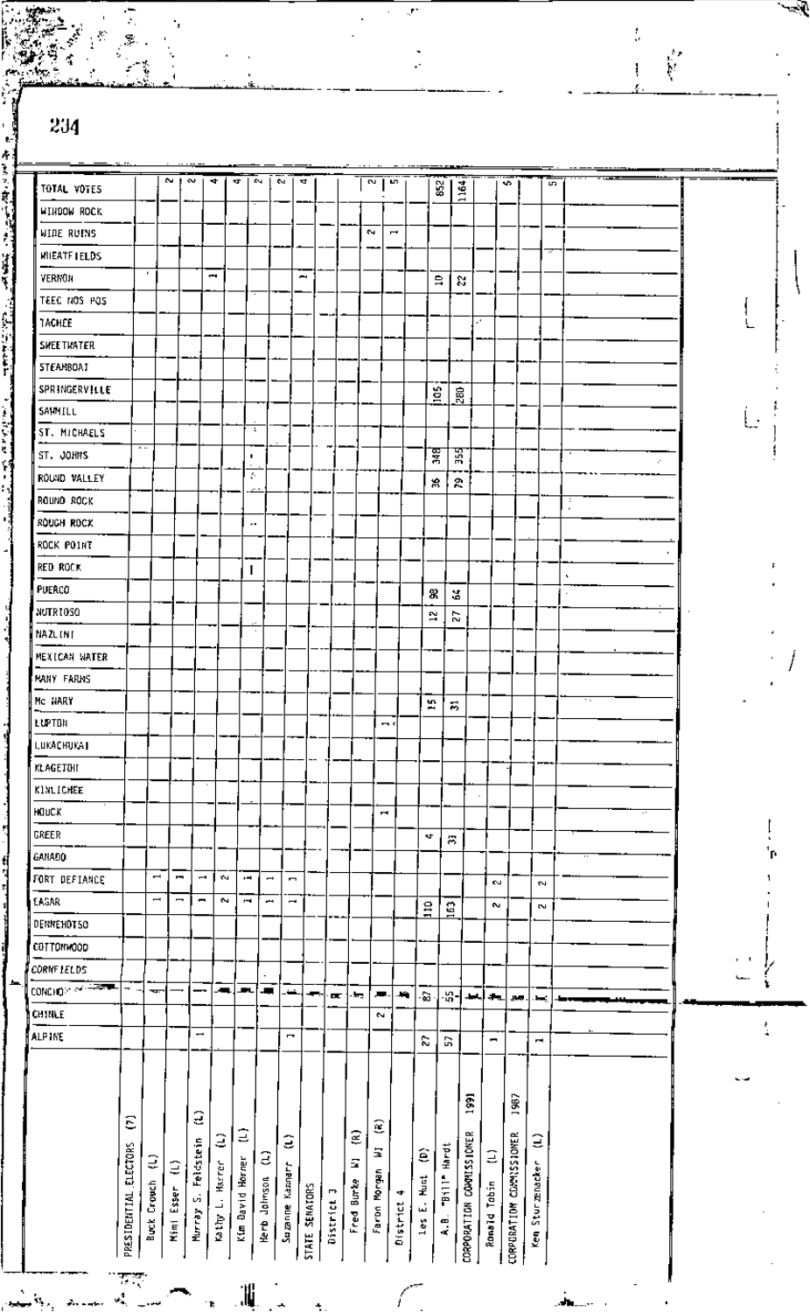|                      |                          |                          |         |                          |    |                          |                          |                                                                                                                                                                                                                                                       |                          |   |                             |          |                          |                      |                                   |        |                |      |           |   |  | $\frac{1}{2}$ |
|----------------------|--------------------------|--------------------------|---------|--------------------------|----|--------------------------|--------------------------|-------------------------------------------------------------------------------------------------------------------------------------------------------------------------------------------------------------------------------------------------------|--------------------------|---|-----------------------------|----------|--------------------------|----------------------|-----------------------------------|--------|----------------|------|-----------|---|--|---------------|
| 234                  |                          |                          |         |                          |    |                          |                          |                                                                                                                                                                                                                                                       |                          |   |                             |          |                          |                      |                                   |        |                |      |           |   |  |               |
| TOTAL VOTES          |                          |                          | $N + N$ |                          | ÷  | 4                        | £ч                       | e.                                                                                                                                                                                                                                                    | 4                        |   |                             | <b>N</b> | LД.                      |                      | 852                               |        |                | ÷    |           | S |  |               |
| MIHDOM ROCK          |                          |                          |         |                          |    |                          |                          |                                                                                                                                                                                                                                                       |                          |   |                             |          |                          |                      |                                   | 1164   |                |      |           |   |  |               |
| WIDE RUINS           |                          |                          |         |                          |    |                          |                          |                                                                                                                                                                                                                                                       |                          |   |                             | $\sim$   | $\overline{\phantom{a}}$ |                      |                                   |        |                |      |           |   |  |               |
| <b>WILEATE LELDS</b> |                          |                          |         |                          |    |                          |                          |                                                                                                                                                                                                                                                       |                          |   |                             |          |                          |                      |                                   |        |                |      |           |   |  |               |
| VERNON               |                          | $\blacksquare$           |         |                          | ŧ  |                          |                          |                                                                                                                                                                                                                                                       | $\overline{\phantom{0}}$ |   |                             |          |                          |                      |                                   |        |                |      |           |   |  |               |
| ZDH 20N DBET         |                          |                          |         |                          |    |                          |                          |                                                                                                                                                                                                                                                       |                          |   |                             |          |                          |                      | 鳥                                 | r.     |                |      |           |   |  |               |
| TACHEE               |                          |                          |         |                          |    |                          |                          |                                                                                                                                                                                                                                                       |                          |   |                             |          |                          |                      |                                   | u,     |                |      |           |   |  |               |
| <b>SWEETWATER</b>    |                          |                          |         |                          |    |                          |                          |                                                                                                                                                                                                                                                       |                          |   |                             |          |                          |                      |                                   |        |                |      |           |   |  |               |
| STEAMBOAT            |                          |                          |         |                          |    |                          |                          |                                                                                                                                                                                                                                                       |                          |   |                             |          |                          |                      |                                   |        |                |      |           |   |  |               |
| SPRINGERVILLE        |                          |                          |         |                          |    |                          |                          |                                                                                                                                                                                                                                                       |                          |   |                             |          |                          |                      |                                   |        |                |      |           |   |  |               |
| SAMMILL              |                          |                          |         |                          |    |                          |                          |                                                                                                                                                                                                                                                       |                          |   |                             |          |                          |                      | $\frac{6}{2}$                     | 。<br>恩 |                |      |           |   |  |               |
| ST. MICHAELS         |                          |                          |         |                          |    |                          | ÷                        |                                                                                                                                                                                                                                                       |                          |   |                             |          |                          |                      |                                   |        |                |      |           |   |  |               |
| ST. JOHNS            |                          | $\ddot{\phantom{1}}$     |         |                          |    |                          | ٠                        |                                                                                                                                                                                                                                                       |                          |   |                             |          |                          |                      | इ                                 | 꾧      |                |      |           |   |  |               |
| ROUND VALLEY         |                          |                          |         |                          |    |                          | Ş.                       |                                                                                                                                                                                                                                                       |                          |   |                             |          |                          |                      |                                   |        |                |      |           |   |  |               |
| ROUND ROCK           |                          |                          |         |                          |    |                          |                          |                                                                                                                                                                                                                                                       |                          |   |                             |          |                          |                      | s.                                | Ğ,     |                |      |           | ÷ |  |               |
| ROUGH ROCK           |                          |                          |         |                          |    |                          | ٠.                       |                                                                                                                                                                                                                                                       |                          |   |                             |          |                          |                      |                                   |        |                |      |           |   |  |               |
| ROCK POINT           |                          |                          |         |                          |    |                          |                          |                                                                                                                                                                                                                                                       |                          |   |                             |          |                          |                      |                                   |        |                |      |           |   |  |               |
| RED ROCK             |                          |                          |         |                          |    |                          |                          |                                                                                                                                                                                                                                                       |                          |   |                             |          |                          |                      |                                   |        |                |      |           |   |  |               |
| PUERCO               |                          |                          |         |                          |    |                          | I                        |                                                                                                                                                                                                                                                       |                          |   |                             |          |                          |                      |                                   |        |                |      |           |   |  |               |
| NUTRIOSO             |                          |                          |         |                          |    |                          |                          |                                                                                                                                                                                                                                                       |                          |   |                             |          |                          |                      | 3.                                | ¥,     |                |      |           |   |  |               |
| NAZL INT             |                          |                          |         |                          |    |                          |                          |                                                                                                                                                                                                                                                       |                          |   |                             |          |                          |                      | 2                                 | Z      |                |      |           |   |  |               |
| MEXICAN WATER        |                          |                          |         |                          |    |                          |                          |                                                                                                                                                                                                                                                       |                          |   |                             |          |                          |                      |                                   |        |                |      |           |   |  |               |
| MANY FARMS           |                          |                          |         |                          |    |                          |                          |                                                                                                                                                                                                                                                       |                          |   |                             |          |                          |                      |                                   |        |                |      |           |   |  |               |
| Mc HARY              |                          |                          |         |                          |    |                          |                          |                                                                                                                                                                                                                                                       |                          |   |                             |          |                          | S.                   |                                   |        |                |      |           |   |  |               |
| LUPTON               |                          |                          |         |                          |    |                          |                          |                                                                                                                                                                                                                                                       |                          |   |                             | m s      |                          | $\ddot{\phantom{1}}$ | $\overline{\mathbf{v}}_t$         |        |                |      |           |   |  |               |
| LUKACHUKAT           |                          |                          |         |                          |    |                          |                          |                                                                                                                                                                                                                                                       |                          |   |                             |          |                          |                      |                                   |        |                |      |           |   |  |               |
| KLAGETOII            |                          |                          |         |                          |    |                          |                          |                                                                                                                                                                                                                                                       |                          |   |                             |          |                          |                      |                                   |        |                |      |           |   |  |               |
| KINLICHEE            |                          |                          |         |                          |    |                          |                          |                                                                                                                                                                                                                                                       |                          |   |                             |          |                          |                      |                                   |        |                |      |           |   |  |               |
| HOUCK                |                          |                          |         |                          |    |                          |                          |                                                                                                                                                                                                                                                       |                          |   |                             | r.       |                          |                      |                                   |        |                |      |           |   |  |               |
| GREER                |                          |                          |         |                          |    |                          |                          |                                                                                                                                                                                                                                                       |                          |   |                             |          |                          | st.                  |                                   |        |                |      |           |   |  |               |
| GANADO               |                          |                          |         |                          |    |                          |                          |                                                                                                                                                                                                                                                       |                          |   |                             |          |                          |                      | $\overline{\phantom{a}}$          |        |                |      |           |   |  |               |
| FORT DEFIANCE        |                          | $\overline{\phantom{a}}$ | ſ       | $\overline{\phantom{a}}$ | ÷. | $\overline{\phantom{a}}$ | $\overline{\phantom{a}}$ | $\blacksquare$                                                                                                                                                                                                                                        |                          |   |                             |          |                          |                      |                                   |        |                |      |           |   |  |               |
| EAGAR                |                          | $\overline{\phantom{a}}$ |         | -                        | Z  | Ĩ.                       | ł                        | $\overline{\phantom{a}}$                                                                                                                                                                                                                              |                          |   |                             |          |                          |                      |                                   |        | $\sim$         |      | <b>DA</b> |   |  |               |
| DERNEHOT50           |                          |                          |         |                          |    |                          |                          |                                                                                                                                                                                                                                                       |                          |   |                             |          |                          | $\frac{1}{2}$        | $\mathbf{\underline{\mathbf{G}}}$ |        | $\sim$         |      | $\sim$    |   |  |               |
| CDTTONHOOD           |                          |                          |         |                          |    |                          |                          |                                                                                                                                                                                                                                                       |                          |   |                             |          |                          |                      |                                   |        |                |      |           |   |  |               |
| CORNETELDS           |                          |                          |         |                          |    |                          |                          |                                                                                                                                                                                                                                                       |                          |   |                             |          |                          |                      |                                   |        |                |      |           |   |  |               |
| CONCHOR OF LEADER    | $\overline{\phantom{a}}$ | тų.                      |         |                          | æ. | ابر                      | 一                        | لمنتقل                                                                                                                                                                                                                                                | ж.                       |   |                             | л.       | 94.                      |                      |                                   |        |                |      |           |   |  |               |
| <b>CHINLE</b>        |                          |                          |         |                          |    |                          |                          |                                                                                                                                                                                                                                                       |                          | œ | $\mathcal{L}_{\mathcal{L}}$ | е.       |                          | -ରେ                  | -\$9-                             | إياط   | ÷.             | وببر | . —       |   |  |               |
| <b>ALP INE</b>       |                          |                          |         | $\overline{\phantom{0}}$ |    |                          |                          | $\overline{ }$                                                                                                                                                                                                                                        |                          |   |                             |          |                          |                      |                                   |        | $\blacksquare$ |      |           |   |  |               |
|                      |                          |                          |         |                          |    |                          |                          |                                                                                                                                                                                                                                                       |                          |   |                             |          |                          | 2                    | G                                 |        |                |      | m,        |   |  |               |
|                      | ε                        |                          |         | а                        |    |                          |                          | PRSIDENTIAL ELECTORS (7)<br>North (1)<br>North Siser (1)<br>North Siser (1)<br>North Siser (1)<br>North Siser (1)<br>Kim Siser (1)<br>Kim Siser (1)<br>Suamme Kanarr (1)<br>Suamme Kanarr (1)<br>Suamme Kanarr (1)<br>The Burke W1 (8)<br>The Burke W |                          |   |                             | €        |                          |                      |                                   | S.     |                | 381  |           |   |  |               |
|                      |                          |                          |         |                          |    |                          |                          |                                                                                                                                                                                                                                                       |                          |   |                             |          |                          |                      |                                   |        |                |      |           |   |  |               |

湚

 $\overline{a}$ 

ż

€

Ņ

 $\frac{1}{2}$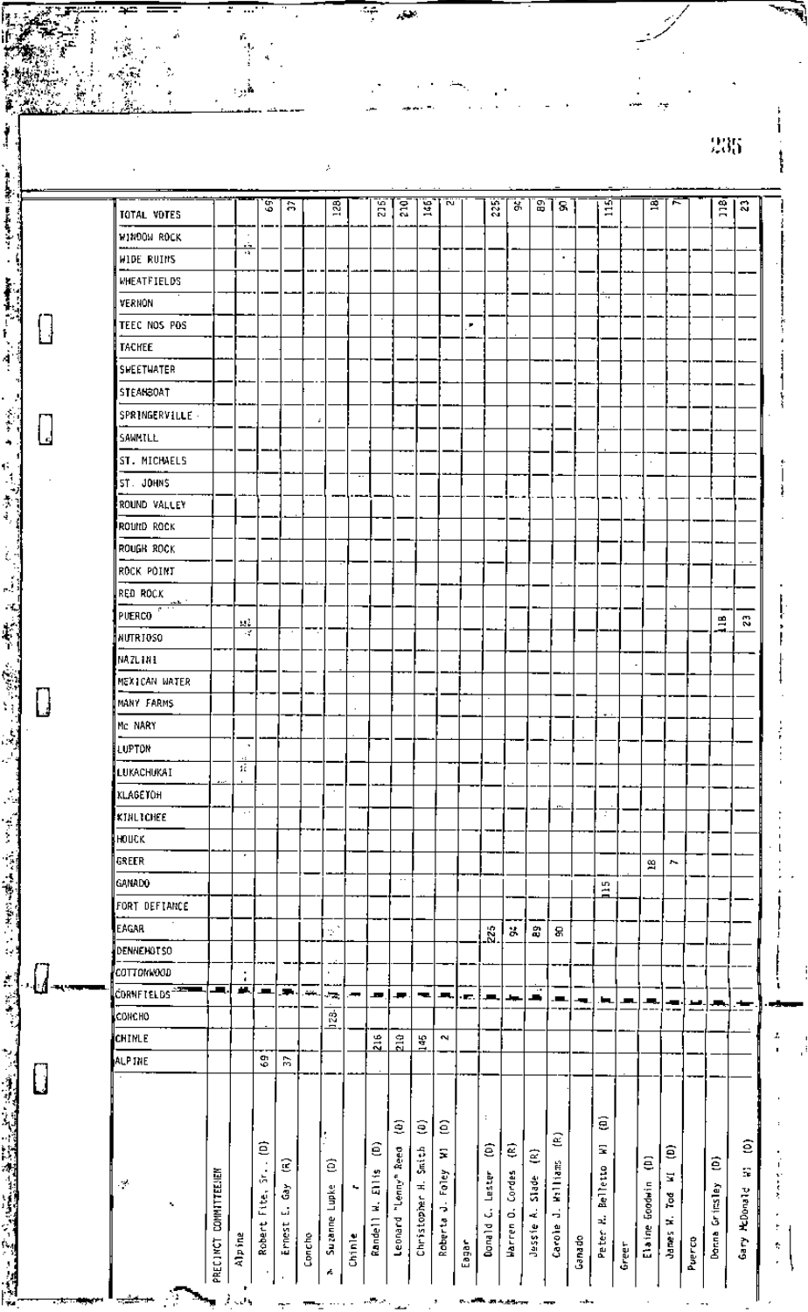|                           |                       |                                          | S,                                                             | 合                    |        | 128                        |              | ដឹ                                      | 210                       | g                            | <b>DU</b>                       |       | Ř                                                | ă.                                            | 5                                 | 8                                               |        | w<br>Ξ                            |       | 亶                    | ,                          |        | Å                      | S,                         |
|---------------------------|-----------------------|------------------------------------------|----------------------------------------------------------------|----------------------|--------|----------------------------|--------------|-----------------------------------------|---------------------------|------------------------------|---------------------------------|-------|--------------------------------------------------|-----------------------------------------------|-----------------------------------|-------------------------------------------------|--------|-----------------------------------|-------|----------------------|----------------------------|--------|------------------------|----------------------------|
| TOTAL VOTES               |                       |                                          |                                                                |                      |        |                            |              |                                         |                           |                              |                                 |       |                                                  |                                               |                                   |                                                 |        |                                   |       |                      |                            |        |                        |                            |
| WINDOW ROCK               |                       | ÷.<br>×¥.                                |                                                                |                      |        |                            |              |                                         |                           |                              |                                 |       |                                                  |                                               |                                   |                                                 |        |                                   |       |                      |                            |        |                        |                            |
| <b>WIDE RUINS</b>         |                       |                                          |                                                                |                      |        |                            |              |                                         |                           |                              |                                 |       |                                                  |                                               |                                   | $\blacksquare$                                  |        |                                   |       |                      |                            |        |                        |                            |
| WHEATFIELDS               |                       |                                          |                                                                |                      |        |                            |              |                                         |                           |                              |                                 |       |                                                  |                                               |                                   |                                                 |        | ٠,                                |       |                      |                            |        |                        |                            |
| VERHON                    |                       |                                          |                                                                |                      |        |                            |              |                                         |                           |                              |                                 |       |                                                  |                                               |                                   |                                                 |        |                                   |       |                      |                            |        |                        |                            |
| TEEC NOS POS              |                       |                                          |                                                                |                      |        |                            |              |                                         |                           |                              |                                 |       |                                                  |                                               |                                   |                                                 |        |                                   |       |                      |                            |        |                        |                            |
| <b>TACHEE</b>             |                       |                                          |                                                                |                      |        |                            |              |                                         |                           |                              |                                 |       |                                                  |                                               |                                   |                                                 |        |                                   |       |                      |                            |        |                        |                            |
| SWEETWATER                |                       |                                          |                                                                |                      |        |                            |              |                                         |                           |                              |                                 |       |                                                  |                                               |                                   |                                                 |        |                                   |       |                      |                            |        |                        |                            |
| <b>STEANSOAT</b>          |                       |                                          |                                                                |                      |        |                            |              |                                         |                           |                              |                                 |       |                                                  |                                               |                                   |                                                 |        |                                   |       |                      |                            |        |                        |                            |
| SPRINGERVILLE             |                       |                                          |                                                                |                      |        |                            |              |                                         |                           |                              |                                 |       |                                                  |                                               |                                   |                                                 |        |                                   |       |                      |                            |        |                        |                            |
| SAWMILL                   |                       |                                          |                                                                |                      |        |                            |              |                                         |                           |                              |                                 |       |                                                  |                                               |                                   |                                                 |        |                                   |       |                      |                            |        |                        |                            |
| ST. MICHAELS              |                       |                                          |                                                                |                      |        |                            |              |                                         |                           |                              |                                 |       |                                                  |                                               |                                   |                                                 |        |                                   |       | $\ddot{\phantom{a}}$ |                            |        |                        |                            |
| <b>ST. JOHNS</b>          |                       |                                          |                                                                |                      |        |                            |              |                                         |                           |                              |                                 |       |                                                  |                                               |                                   |                                                 |        |                                   |       |                      |                            |        |                        |                            |
| ROUND VALLEY              |                       |                                          |                                                                |                      |        |                            |              |                                         |                           |                              |                                 |       |                                                  |                                               |                                   |                                                 |        |                                   |       |                      |                            |        |                        |                            |
| Round Rock                |                       |                                          |                                                                |                      |        |                            |              |                                         |                           |                              |                                 |       |                                                  |                                               |                                   |                                                 |        |                                   |       |                      |                            |        |                        |                            |
| ROUGH ROCK                |                       |                                          |                                                                |                      |        |                            |              |                                         |                           |                              |                                 |       |                                                  |                                               |                                   |                                                 |        |                                   |       |                      |                            |        |                        |                            |
| ROCK POINT                |                       |                                          |                                                                |                      |        |                            |              |                                         |                           |                              |                                 |       |                                                  |                                               |                                   |                                                 |        |                                   |       |                      |                            |        |                        |                            |
| RED ROCK<br>المعب         |                       |                                          |                                                                |                      |        |                            |              |                                         |                           |                              |                                 |       |                                                  |                                               |                                   |                                                 |        |                                   |       |                      |                            |        |                        |                            |
| ø.<br>PUERCO              |                       | $\mathcal{M}_{\mathcal{S}}$              |                                                                |                      |        |                            |              |                                         |                           |                              |                                 |       |                                                  |                                               |                                   |                                                 |        |                                   |       |                      |                            |        | 兽                      | $\boldsymbol{z}$           |
| NUTRIOSO                  |                       | $\mathcal{L}^{\mathcal{F}}_{\mathbf{a}}$ |                                                                | $\cdot$              |        |                            |              |                                         |                           |                              |                                 |       |                                                  |                                               |                                   |                                                 |        |                                   |       |                      |                            |        |                        |                            |
| NAZLINI                   |                       |                                          |                                                                |                      |        |                            |              |                                         |                           |                              |                                 |       |                                                  |                                               |                                   |                                                 |        |                                   |       |                      |                            |        |                        |                            |
| MEXICAN WATER             |                       |                                          |                                                                |                      |        |                            |              |                                         |                           |                              |                                 |       |                                                  |                                               |                                   |                                                 |        |                                   |       |                      |                            |        |                        |                            |
| MANY FARMS                |                       |                                          |                                                                |                      |        |                            |              |                                         |                           |                              |                                 |       |                                                  |                                               |                                   |                                                 |        |                                   |       |                      |                            |        |                        |                            |
| Mc NARY                   |                       |                                          |                                                                |                      |        |                            |              |                                         |                           |                              |                                 |       |                                                  |                                               |                                   |                                                 |        |                                   |       |                      |                            |        |                        |                            |
| LUPTON                    |                       | ٠                                        |                                                                |                      |        |                            |              |                                         |                           |                              |                                 |       |                                                  |                                               |                                   |                                                 |        |                                   |       |                      |                            |        |                        |                            |
| LUKACHUKAI                |                       | άč                                       |                                                                |                      |        |                            |              |                                         |                           |                              |                                 |       |                                                  |                                               |                                   |                                                 |        |                                   |       |                      |                            |        |                        |                            |
| <b>KLAGETOH</b>           |                       |                                          |                                                                |                      |        |                            |              |                                         |                           |                              |                                 |       |                                                  |                                               |                                   |                                                 |        |                                   |       |                      |                            |        |                        |                            |
| KINLICHEE                 |                       | $\cdot$ .                                |                                                                |                      |        |                            |              |                                         |                           |                              |                                 |       |                                                  |                                               |                                   |                                                 |        | Ŧ                                 |       |                      |                            |        |                        |                            |
| HOUCK                     |                       |                                          |                                                                |                      |        |                            |              |                                         |                           |                              |                                 |       |                                                  |                                               |                                   |                                                 |        |                                   |       |                      |                            |        |                        |                            |
| GREER                     |                       | ٠                                        |                                                                |                      |        |                            |              |                                         |                           |                              |                                 |       |                                                  |                                               |                                   |                                                 |        |                                   |       | 웤                    | ×.                         |        |                        |                            |
| GANADO                    |                       |                                          |                                                                |                      |        |                            |              |                                         | $\cdot$ .                 |                              |                                 |       |                                                  |                                               |                                   |                                                 |        |                                   |       |                      |                            |        |                        |                            |
| FORT DEFIANCE             |                       |                                          |                                                                |                      |        |                            |              |                                         |                           |                              |                                 |       |                                                  |                                               |                                   |                                                 |        | ă.                                |       |                      |                            |        |                        |                            |
| EAGAR                     |                       |                                          |                                                                |                      |        |                            |              |                                         |                           |                              |                                 |       |                                                  |                                               |                                   |                                                 |        |                                   |       |                      |                            |        |                        |                            |
| DENNEHOT SO               |                       |                                          |                                                                |                      |        | $\mathbb{R}^N$             |              |                                         |                           |                              |                                 |       | $\frac{3}{2}$                                    | X                                             | å,                                | 8                                               |        |                                   |       |                      |                            |        |                        |                            |
| COTTONWOOD                |                       | $\blacksquare$                           |                                                                |                      |        | $\blacksquare$             |              |                                         |                           |                              |                                 |       |                                                  |                                               |                                   |                                                 |        |                                   |       |                      |                            |        |                        |                            |
| CORNFIELDS <sup>-32</sup> | <u>. п.</u>           | $\pmb{\cdot}$<br>貳                       | ж.                                                             | æ.                   | ÷.     | ÷,                         | -            | л.                                      | ▰                         | –.                           | л,                              |       |                                                  |                                               | $\overline{\phantom{a}}$          |                                                 |        |                                   |       |                      |                            |        |                        |                            |
| CONCHO                    |                       |                                          |                                                                |                      |        |                            |              |                                         |                           |                              |                                 | œ.    | л.                                               |                                               |                                   | ш,                                              | т,     | ь.                                | ш.    | щ.                   | ٠                          | 본      | ж,                     | <b>. The Second Second</b> |
| CHINLE                    |                       |                                          |                                                                |                      |        | $\frac{1}{2}$              |              |                                         |                           |                              | $\tilde{\phantom{a}}$           |       |                                                  |                                               |                                   |                                                 |        |                                   |       |                      |                            |        |                        |                            |
| <b>ALP THE</b>            |                       |                                          | \$                                                             | P.                   |        |                            |              | $\frac{216}{5}$                         | $\frac{210}{2}$           | $\frac{145}{2}$              |                                 |       |                                                  |                                               |                                   |                                                 |        |                                   |       |                      |                            |        |                        |                            |
|                           |                       |                                          |                                                                |                      |        |                            |              |                                         |                           |                              |                                 |       |                                                  |                                               |                                   |                                                 |        |                                   |       |                      |                            |        |                        |                            |
| 4<br>×,                   | PRECINCT COMMITTEENEM | Alpine                                   | €<br>$\blacksquare$<br>$\frac{1}{\sqrt{2}}$<br>Fite,<br>Robert | Ê<br>Ğ<br><br>Ernest | Concho | ÷<br>ê<br>Lupke<br>Suzanne | ۰.<br>Chinie | ê<br>Ellis<br>E,<br>Rande <sup>11</sup> | ŝ<br>Leonard "Lenny" Reed | ŝ<br>Smith<br>Christopher H. | ε<br>Ξ<br>Foley<br>ś<br>Roberta | Eagar | $\ddot{\phantom{a}}$<br>ê<br>Lester<br>Donald C. | €<br>Cordes<br>$\dot{\circ}$<br><b>Warren</b> | Ξ<br>Slade<br>$\vec{z}$<br>Jessie | Ξ<br><b>Hallians</b><br>$\frac{1}{2}$<br>Carole | Ganado | ê<br>Ξ<br>Belletto<br>зį<br>Peter | Green | Ξ<br>Elaine Goodwin  | ê<br>Z,<br>Tod<br>Janes V. | Puenco | ê<br>Grinsley<br>Dorma | ê<br>S<br>Gary HcDonald    |
|                           |                       |                                          |                                                                |                      |        | ń,                         |              |                                         |                           |                              |                                 |       |                                                  |                                               |                                   |                                                 |        |                                   |       |                      |                            |        |                        |                            |

Ŧ

l,

J.

 $\frac{1}{2}$ 

ة<br>فر

 $\frac{1}{2}$ 

 $\mathcal{L} = \sum_{i=1}^n \mathcal{L}_i = \sum_{i=1}^n \mathcal{L}_i$  , where  $\mathcal{L}_i = \sum_{i=1}^n \mathcal{L}_i$  ,  $\mathcal{L}_i = \sum_{i=1}^n \mathcal{L}_i = \sum_{i=1}^n \mathcal{L}_i = \sum_{i=1}^n \mathcal{L}_i = \sum_{i=1}^n \mathcal{L}_i = \sum_{i=1}^n \mathcal{L}_i = \sum_{i=1}^n \mathcal{L}_i = \sum_{i=1}^n \mathcal{L}_i = \sum_{i=1}^n \mathcal{$ 

<u>i I.a magin - filmi hama</u>

2010年1月

建立的现在分词

T.

. []

 $\begin{array}{c} \square \end{array}$ 

 $\begin{bmatrix} \end{bmatrix}$ 

 $\begin{array}{c} \square \end{array}$ 

 $\hfill \square$ 

بعقيم

 $235\,$ 

ļ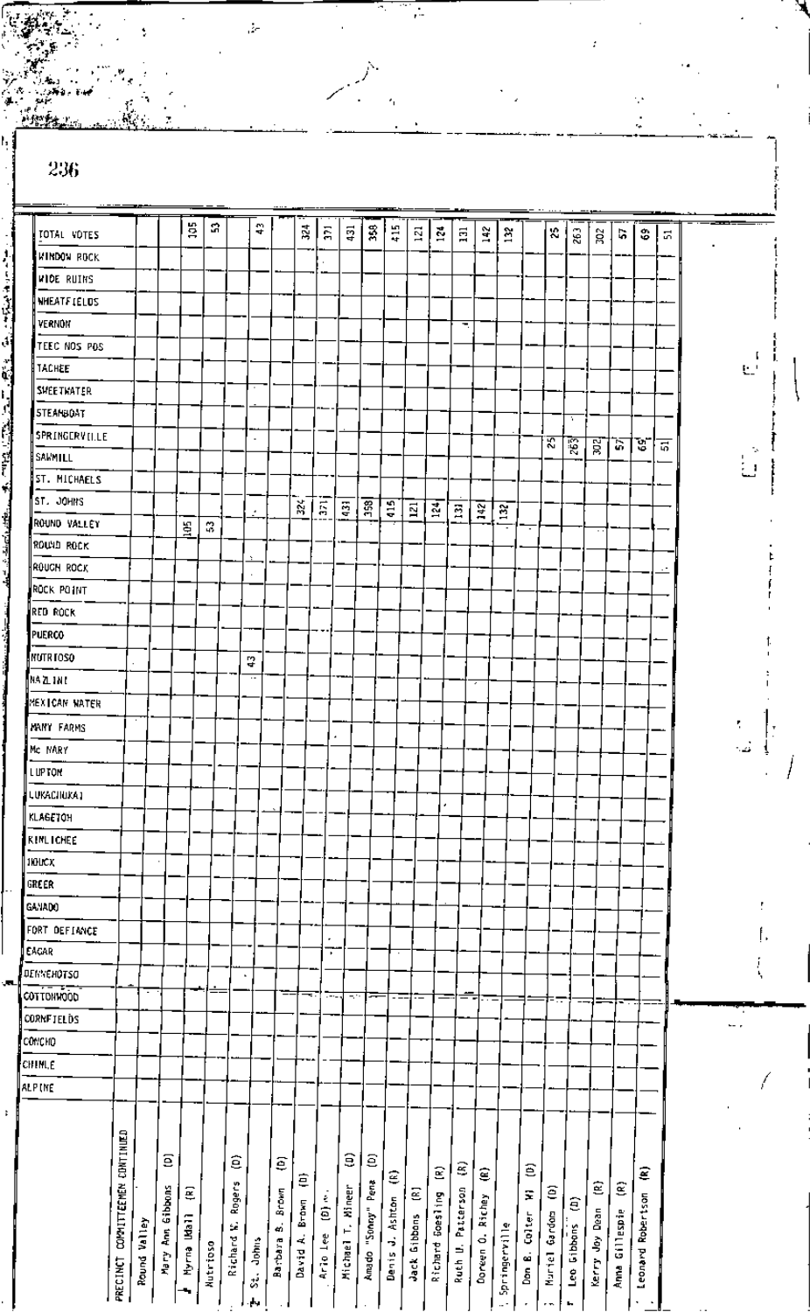| 236                |                        |                 |              |                  |                 |                              |                          |                          |                |                         |                        |                         |                |                |                  |                |                                |                      |                    |              |                          |                |                   |                   |                | للعثائقة س |          |
|--------------------|------------------------|-----------------|--------------|------------------|-----------------|------------------------------|--------------------------|--------------------------|----------------|-------------------------|------------------------|-------------------------|----------------|----------------|------------------|----------------|--------------------------------|----------------------|--------------------|--------------|--------------------------|----------------|-------------------|-------------------|----------------|------------|----------|
|                    |                        |                 |              | ă                | я               |                              | 쯫                        |                          | $\mathbf{z}^4$ |                         |                        |                         |                |                |                  |                |                                |                      |                    |              |                          |                |                   |                   |                |            |          |
| TOTAL VOTES        |                        |                 |              |                  |                 |                              |                          |                          |                | ភ្ន                     | $\overline{431}$       | Š,                      | $\frac{15}{4}$ | $\Xi$          | $\frac{3}{2}$    | $\Xi$          | 142                            | $\tilde{\mathbf{z}}$ |                    | ×,           | $\tilde{\mathbf{z}}$     | ន្ត            | r.                | \$                | 5              |            |          |
| <b>WINDOW ROCK</b> |                        |                 |              |                  |                 |                              |                          |                          |                |                         |                        |                         |                |                |                  |                |                                |                      |                    |              |                          |                |                   |                   |                |            |          |
| WIDE RUINS         |                        |                 |              |                  |                 |                              |                          |                          |                |                         |                        |                         |                |                |                  |                |                                |                      |                    |              |                          |                |                   |                   |                |            |          |
| <b>NHEATFIELDS</b> |                        |                 |              |                  |                 |                              |                          |                          |                |                         |                        |                         |                |                |                  |                |                                |                      |                    |              |                          |                |                   |                   |                |            |          |
| VERNON             |                        |                 |              |                  |                 |                              |                          |                          |                |                         |                        |                         |                |                |                  | Ξ.             |                                |                      |                    |              |                          |                |                   |                   |                |            |          |
| TEEC NOS POS       |                        |                 |              |                  |                 |                              |                          |                          |                |                         |                        |                         |                |                |                  |                |                                |                      |                    |              |                          |                |                   |                   |                |            |          |
| TACHEE             |                        |                 |              |                  |                 |                              |                          |                          |                |                         |                        |                         |                |                |                  |                |                                |                      |                    |              |                          |                |                   |                   |                |            | Ł.       |
| SHEETHATER         |                        |                 |              |                  |                 |                              |                          |                          |                |                         |                        |                         |                |                |                  |                |                                |                      |                    |              |                          |                |                   |                   |                |            |          |
| STEANBOAT          |                        |                 |              |                  |                 |                              |                          |                          |                |                         |                        |                         |                |                |                  |                |                                |                      |                    |              | ÷.                       |                |                   |                   |                |            |          |
| SPRINGERVILLE      |                        |                 |              |                  |                 |                              | $\blacksquare$           |                          |                |                         |                        |                         |                |                |                  |                |                                |                      |                    | য়           | 霞                        | ब्र            | 57                | υ                 | $\overline{5}$ |            |          |
| SAWMILL            |                        |                 |              |                  |                 |                              |                          |                          |                |                         |                        |                         |                |                |                  |                |                                |                      |                    |              |                          |                |                   |                   |                |            | Ú        |
| ST. MICHAELS       |                        |                 |              |                  |                 |                              |                          |                          |                |                         |                        |                         |                |                |                  |                |                                |                      |                    |              |                          |                |                   |                   |                |            |          |
| ST. JOHNS          |                        |                 |              |                  |                 |                              | ٠                        |                          | 32¢            | $\overline{\mathbf{a}}$ | $\overline{3}$         | $\overline{35}$         | $\frac{15}{4}$ | $\mathbf{L}^2$ | $\frac{34}{2}$   | $\Xi$          |                                |                      |                    |              |                          |                |                   |                   |                |            |          |
| ROUND VALLEY       |                        |                 |              | 凰                | 3               |                              |                          |                          |                |                         |                        |                         |                |                |                  |                | ¥                              | $\mathbf{z}$<br>τ    |                    |              |                          | ٠              |                   |                   |                |            |          |
| ROUND ROCK         |                        |                 |              |                  |                 |                              |                          |                          |                |                         |                        |                         |                |                |                  |                |                                |                      |                    |              |                          |                |                   |                   |                |            |          |
| ROUGH ROCK         |                        |                 |              |                  |                 |                              |                          |                          |                |                         |                        |                         |                |                |                  |                |                                |                      |                    |              |                          |                |                   |                   |                |            |          |
| ROCK POINT         |                        |                 |              |                  |                 |                              |                          |                          |                |                         |                        |                         |                |                |                  |                |                                |                      |                    |              |                          |                |                   |                   |                |            |          |
| RED ROCK           |                        |                 |              |                  |                 |                              |                          |                          |                |                         |                        |                         |                |                |                  |                |                                |                      |                    |              |                          |                |                   |                   |                |            |          |
| PUERCO             |                        |                 |              |                  |                 |                              |                          |                          |                |                         |                        |                         |                |                |                  |                |                                |                      |                    |              |                          |                |                   |                   |                |            |          |
| NUTR TOSO          |                        |                 |              |                  |                 |                              |                          |                          |                |                         |                        |                         |                |                |                  |                |                                |                      |                    |              |                          |                |                   |                   |                |            |          |
| NA ZLINI           |                        |                 |              |                  |                 |                              | Ľ,<br>$\cdot$ .          |                          |                |                         |                        |                         |                |                |                  |                |                                |                      |                    |              |                          |                |                   |                   |                |            |          |
| MEXICAN WATER      |                        |                 |              |                  |                 |                              |                          |                          |                |                         |                        |                         |                |                |                  |                | z                              |                      |                    |              |                          |                |                   |                   |                |            |          |
|                    |                        |                 |              |                  |                 |                              |                          |                          |                |                         |                        |                         |                |                |                  |                |                                |                      |                    |              |                          |                |                   |                   |                |            | ,        |
| MANY FARMS         |                        |                 |              |                  |                 |                              |                          |                          |                |                         |                        |                         |                |                |                  |                |                                |                      |                    |              |                          |                |                   |                   |                |            | $\omega$ |
| Mc NARY            |                        |                 |              |                  |                 |                              |                          |                          |                |                         |                        |                         |                |                |                  |                |                                |                      |                    |              |                          |                |                   |                   |                |            |          |
| <b>LUPTOM</b>      |                        |                 |              |                  |                 |                              |                          |                          |                |                         |                        |                         |                |                |                  |                |                                |                      |                    |              |                          |                |                   |                   |                |            |          |
| LUKACHUKA)         |                        |                 |              |                  |                 |                              |                          |                          |                |                         |                        |                         |                |                | ٠                |                |                                |                      |                    |              |                          |                |                   |                   |                |            |          |
| KLAGETOH           |                        |                 |              |                  |                 |                              |                          |                          |                |                         |                        |                         |                |                |                  |                |                                |                      |                    |              |                          |                |                   |                   |                |            |          |
| <b>KINLICHEE</b>   |                        |                 |              |                  |                 |                              |                          |                          |                |                         |                        |                         |                |                |                  |                |                                |                      |                    |              |                          |                |                   |                   |                |            |          |
| 110LCX             |                        |                 |              |                  |                 |                              |                          |                          |                |                         |                        |                         |                |                |                  |                |                                |                      |                    |              |                          |                |                   |                   |                |            |          |
| GREER              |                        |                 |              |                  |                 |                              |                          |                          |                |                         |                        |                         |                |                |                  |                |                                |                      |                    |              |                          |                |                   |                   |                |            |          |
| GANADO             |                        |                 |              |                  |                 |                              |                          |                          |                |                         |                        |                         |                |                |                  |                |                                |                      |                    |              |                          |                |                   |                   |                |            |          |
| FORT DEFIANCE      |                        |                 |              |                  |                 |                              |                          |                          |                |                         |                        |                         |                |                |                  |                |                                |                      |                    |              |                          |                |                   |                   |                |            |          |
| EACAR              |                        |                 |              |                  |                 |                              |                          |                          |                | ٠                       |                        |                         |                |                |                  |                |                                |                      |                    |              |                          |                |                   |                   |                |            |          |
| <b>DENNEHOTSO</b>  |                        |                 |              |                  |                 |                              | $\blacksquare$           |                          |                |                         |                        |                         |                |                |                  |                |                                |                      |                    |              |                          |                |                   |                   |                |            |          |
| COTTONWOOD         |                        |                 |              |                  |                 |                              |                          |                          | ⊸              | —                       | A.                     | ⇁                       | - -            | --             |                  |                |                                |                      |                    | - --         | $\overline{\phantom{a}}$ |                |                   |                   |                |            |          |
| <b>CORNETELOS</b>  |                        |                 |              |                  |                 |                              |                          |                          |                |                         |                        |                         |                |                |                  |                |                                |                      |                    |              |                          |                |                   |                   |                |            | u -      |
| CONCHO             |                        |                 |              |                  |                 |                              |                          |                          |                |                         |                        |                         |                |                |                  |                |                                |                      |                    |              |                          |                |                   |                   |                |            |          |
| CHINLE             |                        |                 |              |                  |                 |                              |                          |                          |                |                         |                        |                         |                |                |                  |                |                                |                      |                    |              |                          |                |                   |                   |                |            |          |
| ALPINE             |                        |                 |              |                  |                 |                              |                          |                          |                |                         |                        |                         |                |                |                  |                |                                |                      |                    |              |                          |                |                   |                   |                |            |          |
|                    |                        |                 |              |                  |                 |                              |                          |                          |                |                         |                        |                         |                |                |                  |                |                                |                      |                    |              |                          |                |                   |                   |                |            |          |
|                    | COMMITTEEMEN CONTINUED |                 | Ξ<br>Gibbons | ē                |                 | ê<br>Rogers<br>$\mathcal{L}$ |                          | ê<br>Brown<br>40.<br>40. | €<br>Втожп     | $\frac{1}{2}$           | €<br>Michael T. Mineer | ε<br>Amado "Sonay" Pena | ε<br>Ashton    | ε              | Ξ                | ŝ<br>Patterson | Ê<br>Richey                    |                      | έ<br>Ξ<br>Colter   | ε<br>Gaindon | ĝ                        | ε              | ĝ                 | ε                 |                |            |          |
|                    | PRECINCT               | Valley<br>Raund | Ę<br>Mary    | Myrna Mall<br>۰, | <b>Nutrioso</b> | Richard                      | Johns<br>$\vec{s}$<br>h. | Barbara                  | 4<br>David     | Arlo Lee                |                        |                         | ÷,<br>Denis    | Jack Gibbons   | Richard Goesling | Ruch U.        | $\dot{\mathbf{o}}$<br>Doneen I | Springerville        | Don $\mathbf{g}$ . | Mariel       | Leo Gibbons              | Kerry Joy Dean | Gillespie<br>Anna | Leonard Robertson |                |            |          |

Τ

in<br>S

 $\dot{\mathbb{A}}$